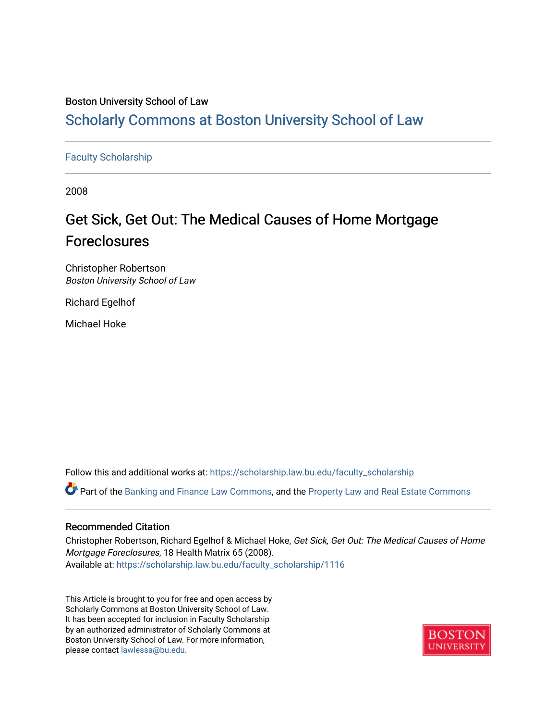# Boston University School of Law

# [Scholarly Commons at Boston University School of Law](https://scholarship.law.bu.edu/)

## [Faculty Scholarship](https://scholarship.law.bu.edu/faculty_scholarship)

2008

# Get Sick, Get Out: The Medical Causes of Home Mortgage Foreclosures

Christopher Robertson Boston University School of Law

Richard Egelhof

Michael Hoke

Follow this and additional works at: [https://scholarship.law.bu.edu/faculty\\_scholarship](https://scholarship.law.bu.edu/faculty_scholarship?utm_source=scholarship.law.bu.edu%2Ffaculty_scholarship%2F1116&utm_medium=PDF&utm_campaign=PDFCoverPages)

Part of the [Banking and Finance Law Commons,](http://network.bepress.com/hgg/discipline/833?utm_source=scholarship.law.bu.edu%2Ffaculty_scholarship%2F1116&utm_medium=PDF&utm_campaign=PDFCoverPages) and the [Property Law and Real Estate Commons](http://network.bepress.com/hgg/discipline/897?utm_source=scholarship.law.bu.edu%2Ffaculty_scholarship%2F1116&utm_medium=PDF&utm_campaign=PDFCoverPages) 

#### Recommended Citation

Christopher Robertson, Richard Egelhof & Michael Hoke, Get Sick, Get Out: The Medical Causes of Home Mortgage Foreclosures, 18 Health Matrix 65 (2008). Available at: [https://scholarship.law.bu.edu/faculty\\_scholarship/1116](https://scholarship.law.bu.edu/faculty_scholarship/1116?utm_source=scholarship.law.bu.edu%2Ffaculty_scholarship%2F1116&utm_medium=PDF&utm_campaign=PDFCoverPages)

This Article is brought to you for free and open access by Scholarly Commons at Boston University School of Law. It has been accepted for inclusion in Faculty Scholarship by an authorized administrator of Scholarly Commons at Boston University School of Law. For more information, please contact [lawlessa@bu.edu](mailto:lawlessa@bu.edu).

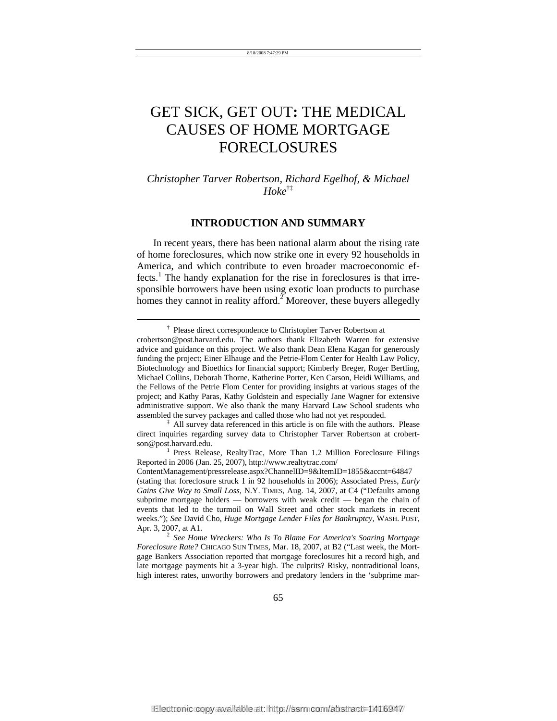# GET SICK, GET OUT**:** THE MEDICAL CAUSES OF HOME MORTGAGE FORECLOSURES

# *Christopher Tarver Robertson, Richard Egelhof, & Michael Hoke*†‡

#### **INTRODUCTION AND SUMMARY**

In recent years, there has been national alarm about the rising rate of home foreclosures, which now strike one in every 92 households in America, and which contribute to even broader macroeconomic effects.<sup>1</sup> The handy explanation for the rise in foreclosures is that irresponsible borrowers have been using exotic loan products to purchase homes they cannot in reality afford.<sup>2</sup> Moreover, these buyers allegedly

l

 *See Home Wreckers: Who Is To Blame For America's Soaring Mortgage Foreclosure Rate?* CHICAGO SUN TIMES, Mar. 18, 2007, at B2 ("Last week, the Mortgage Bankers Association reported that mortgage foreclosures hit a record high, and late mortgage payments hit a 3-year high. The culprits? Risky, nontraditional loans, high interest rates, unworthy borrowers and predatory lenders in the 'subprime mar-

 <sup>†</sup> Please direct correspondence to Christopher Tarver Robertson at

crobertson@post.harvard.edu. The authors thank Elizabeth Warren for extensive advice and guidance on this project. We also thank Dean Elena Kagan for generously funding the project; Einer Elhauge and the Petrie-Flom Center for Health Law Policy, Biotechnology and Bioethics for financial support; Kimberly Breger, Roger Bertling, Michael Collins, Deborah Thorne, Katherine Porter, Ken Carson, Heidi Williams, and the Fellows of the Petrie Flom Center for providing insights at various stages of the project; and Kathy Paras, Kathy Goldstein and especially Jane Wagner for extensive administrative support. We also thank the many Harvard Law School students who assembled the survey packages and called those who had not yet responded.

<sup>&</sup>lt;sup>‡</sup> All survey data referenced in this article is on file with the authors. Please direct inquiries regarding survey data to Christopher Tarver Robertson at crobertson@post.harvard.edu. 1

<sup>&</sup>lt;sup>1</sup> Press Release, RealtyTrac, More Than 1.2 Million Foreclosure Filings Reported in 2006 (Jan. 25, 2007), http://www.realtytrac.com/

ContentManagement/pressrelease.aspx?ChannelID=9&ItemID=1855&accnt=64847 (stating that foreclosure struck 1 in 92 households in 2006); Associated Press, *Early Gains Give Way to Small Loss*, N.Y. TIMES, Aug. 14, 2007, at C4 ("Defaults among subprime mortgage holders — borrowers with weak credit — began the chain of events that led to the turmoil on Wall Street and other stock markets in recent weeks."); *See* David Cho, *Huge Mortgage Lender Files for Bankruptcy,* WASH. POST, Apr. 3, 2007, at A1. 2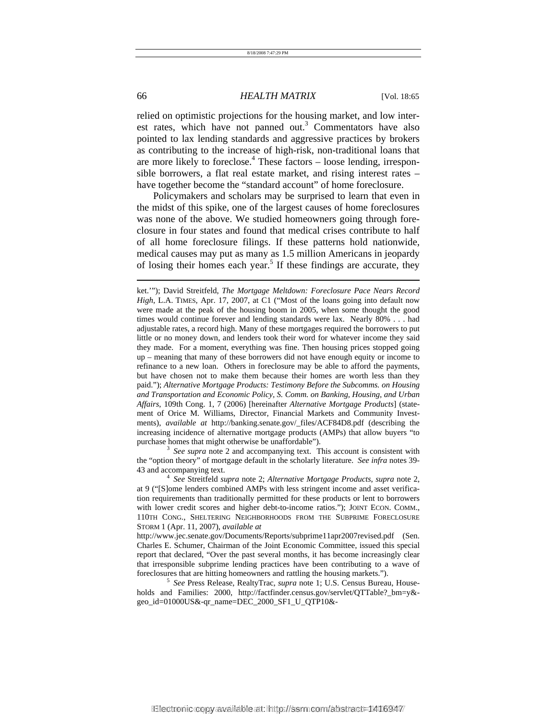relied on optimistic projections for the housing market, and low interest rates, which have not panned out.<sup>3</sup> Commentators have also pointed to lax lending standards and aggressive practices by brokers as contributing to the increase of high-risk, non-traditional loans that are more likely to foreclose.<sup>4</sup> These factors – loose lending, irresponsible borrowers, a flat real estate market, and rising interest rates – have together become the "standard account" of home foreclosure.

Policymakers and scholars may be surprised to learn that even in the midst of this spike, one of the largest causes of home foreclosures was none of the above. We studied homeowners going through foreclosure in four states and found that medical crises contribute to half of all home foreclosure filings. If these patterns hold nationwide, medical causes may put as many as 1.5 million Americans in jeopardy of losing their homes each year.<sup>5</sup> If these findings are accurate, they

 *See supra* note 2 and accompanying text. This account is consistent with the "option theory" of mortgage default in the scholarly literature. *See infra* notes 39- 43 and accompanying text. 4

ket.'"); David Streitfeld, *The Mortgage Meltdown: Foreclosure Pace Nears Record High*, L.A. TIMES, Apr. 17, 2007, at C1 ("Most of the loans going into default now were made at the peak of the housing boom in 2005, when some thought the good times would continue forever and lending standards were lax. Nearly 80% . . . had adjustable rates, a record high. Many of these mortgages required the borrowers to put little or no money down, and lenders took their word for whatever income they said they made. For a moment, everything was fine. Then housing prices stopped going up – meaning that many of these borrowers did not have enough equity or income to refinance to a new loan. Others in foreclosure may be able to afford the payments, but have chosen not to make them because their homes are worth less than they paid."); *Alternative Mortgage Products: Testimony Before the Subcomms. on Housing and Transportation and Economic Policy, S. Comm. on Banking, Housing, and Urban Affairs*, 109th Cong. 1, 7 (2006) [hereinafter *Alternative Mortgage Products*] (statement of Orice M. Williams, Director, Financial Markets and Community Investments), *available at* http://banking.senate.gov/\_files/ACF84D8.pdf (describing the increasing incidence of alternative mortgage products (AMPs) that allow buyers "to purchase homes that might otherwise be unaffordable").

*See* Streitfeld *supra* note 2; *Alternative Mortgage Products*, *supra* note 2, at 9 ("[S]ome lenders combined AMPs with less stringent income and asset verification requirements than traditionally permitted for these products or lent to borrowers with lower credit scores and higher debt-to-income ratios."); JOINT ECON. COMM., 110TH CONG., SHELTERING NEIGHBORHOODS FROM THE SUBPRIME FORECLOSURE STORM 1 (Apr. 11, 2007), *available at*

http://www.jec.senate.gov/Documents/Reports/subprime11apr2007revised.pdf (Sen. Charles E. Schumer, Chairman of the Joint Economic Committee, issued this special report that declared, "Over the past several months, it has become increasingly clear that irresponsible subprime lending practices have been contributing to a wave of foreclosures that are hitting homeowners and rattling the housing markets.").

<sup>&</sup>lt;sup>5</sup> See Press Release, RealtyTrac, *supra* note 1; U.S. Census Bureau, Households and Families: 2000, http://factfinder.census.gov/servlet/QTTable?\_bm=y& geo\_id=01000US&-qr\_name=DEC\_2000\_SF1\_U\_QTP10&-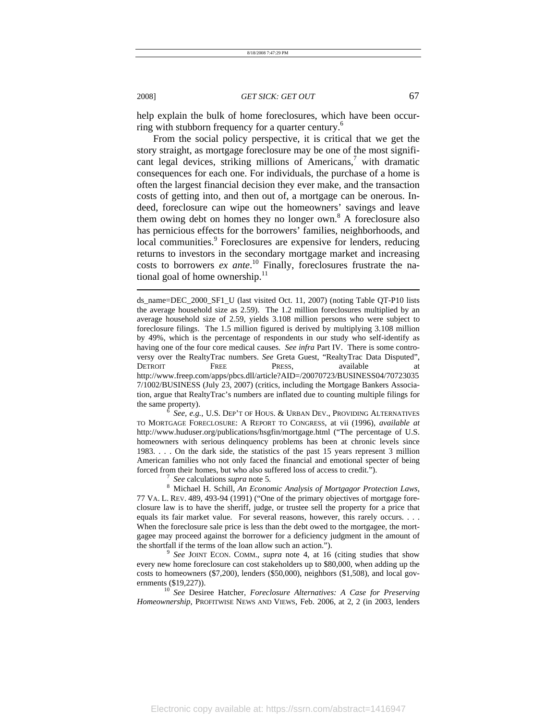help explain the bulk of home foreclosures, which have been occurring with stubborn frequency for a quarter century.<sup>6</sup>

From the social policy perspective, it is critical that we get the story straight, as mortgage foreclosure may be one of the most significant legal devices, striking millions of Americans,<sup>7</sup> with dramatic consequences for each one. For individuals, the purchase of a home is often the largest financial decision they ever make, and the transaction costs of getting into, and then out of, a mortgage can be onerous. Indeed, foreclosure can wipe out the homeowners' savings and leave them owing debt on homes they no longer own.<sup>8</sup> A foreclosure also has pernicious effects for the borrowers' families, neighborhoods, and local communities.<sup>9</sup> Foreclosures are expensive for lenders, reducing returns to investors in the secondary mortgage market and increasing costs to borrowers *ex ante*. 10 Finally, foreclosures frustrate the national goal of home ownership. $^{11}$ 

 *See, e.g.*, U.S. DEP'T OF HOUS. & URBAN DEV., PROVIDING ALTERNATIVES TO MORTGAGE FORECLOSURE: A REPORT TO CONGRESS, at vii (1996), *available at* http://www.huduser.org/publications/hsgfin/mortgage.html ("The percentage of U.S. homeowners with serious delinquency problems has been at chronic levels since 1983. . . . On the dark side, the statistics of the past 15 years represent 3 million American families who not only faced the financial and emotional specter of being forced from their homes, but who also suffered loss of access to credit.").

*See* calculations *supra* note 5.

 Michael H. Schill, *An Economic Analysis of Mortgagor Protection Laws*, 77 VA. L. REV. 489, 493-94 (1991) ("One of the primary objectives of mortgage foreclosure law is to have the sheriff, judge, or trustee sell the property for a price that equals its fair market value. For several reasons, however, this rarely occurs. . . . When the foreclosure sale price is less than the debt owed to the mortgagee, the mortgagee may proceed against the borrower for a deficiency judgment in the amount of the shortfall if the terms of the loan allow such an action.").

 *See* JOINT ECON. COMM., *supra* note 4, at 16 (citing studies that show every new home foreclosure can cost stakeholders up to \$80,000, when adding up the costs to homeowners (\$7,200), lenders (\$50,000), neighbors (\$1,508), and local governments (\$19,227)). 10 *See* Desiree Hatcher, *Foreclosure Alternatives: A Case for Preserving* 

*Homeownership*, PROFITWISE NEWS AND VIEWS, Feb. 2006, at 2, 2 (in 2003, lenders

ds\_name=DEC\_2000\_SF1\_U (last visited Oct. 11, 2007) (noting Table QT-P10 lists the average household size as 2.59). The 1.2 million foreclosures multiplied by an average household size of 2.59, yields 3.108 million persons who were subject to foreclosure filings. The 1.5 million figured is derived by multiplying 3.108 million by 49%, which is the percentage of respondents in our study who self-identify as having one of the four core medical causes. *See infra* Part IV. There is some controversy over the RealtyTrac numbers. *See* Greta Guest, "RealtyTrac Data Disputed", DETROIT FREE PRESS, available at http://www.freep.com/apps/pbcs.dll/article?AID=/20070723/BUSINESS04/70723035 7/1002/BUSINESS (July 23, 2007) (critics, including the Mortgage Bankers Association, argue that RealtyTrac's numbers are inflated due to counting multiple filings for the same property).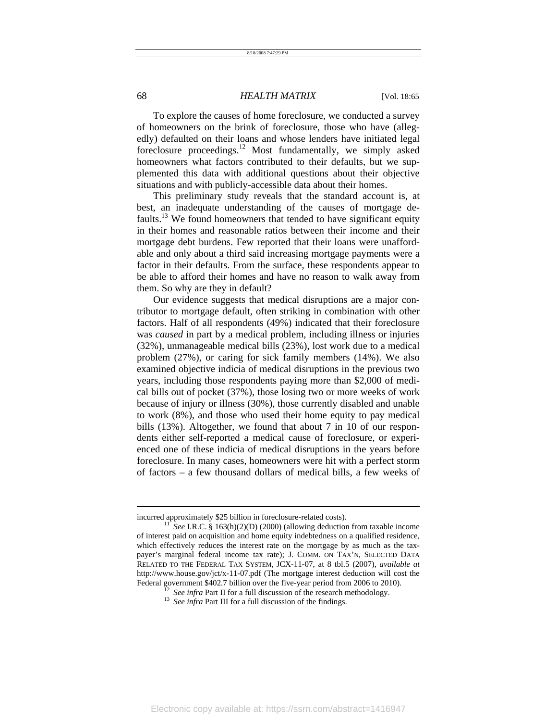To explore the causes of home foreclosure, we conducted a survey of homeowners on the brink of foreclosure, those who have (allegedly) defaulted on their loans and whose lenders have initiated legal foreclosure proceedings.12 Most fundamentally, we simply asked homeowners what factors contributed to their defaults, but we supplemented this data with additional questions about their objective situations and with publicly-accessible data about their homes.

This preliminary study reveals that the standard account is, at best, an inadequate understanding of the causes of mortgage defaults.<sup>13</sup> We found homeowners that tended to have significant equity in their homes and reasonable ratios between their income and their mortgage debt burdens. Few reported that their loans were unaffordable and only about a third said increasing mortgage payments were a factor in their defaults. From the surface, these respondents appear to be able to afford their homes and have no reason to walk away from them. So why are they in default?

Our evidence suggests that medical disruptions are a major contributor to mortgage default, often striking in combination with other factors. Half of all respondents (49%) indicated that their foreclosure was *caused* in part by a medical problem, including illness or injuries (32%), unmanageable medical bills (23%), lost work due to a medical problem (27%), or caring for sick family members (14%). We also examined objective indicia of medical disruptions in the previous two years, including those respondents paying more than \$2,000 of medical bills out of pocket (37%), those losing two or more weeks of work because of injury or illness (30%), those currently disabled and unable to work (8%), and those who used their home equity to pay medical bills (13%). Altogether, we found that about 7 in 10 of our respondents either self-reported a medical cause of foreclosure, or experienced one of these indicia of medical disruptions in the years before foreclosure. In many cases, homeowners were hit with a perfect storm of factors – a few thousand dollars of medical bills, a few weeks of

incurred approximately \$25 billion in foreclosure-related costs).<br><sup>11</sup> *See* I.R.C. § 163(h)(2)(D) (2000) (allowing deduction from taxable income of interest paid on acquisition and home equity indebtedness on a qualified residence, which effectively reduces the interest rate on the mortgage by as much as the taxpayer's marginal federal income tax rate); J. COMM. ON TAX'N, SELECTED DATA RELATED TO THE FEDERAL TAX SYSTEM, JCX-11-07, at 8 tbl.5 (2007), *available at* http://www.house.gov/jct/x-11-07.pdf (The mortgage interest deduction will cost the Federal government \$402.7 billion over the five-year period from 2006 to 2010).<br><sup>12</sup> *See infra* Part II for a full discussion of the research methodology.<br><sup>13</sup> *See infra* Part III for a full discussion of the findings.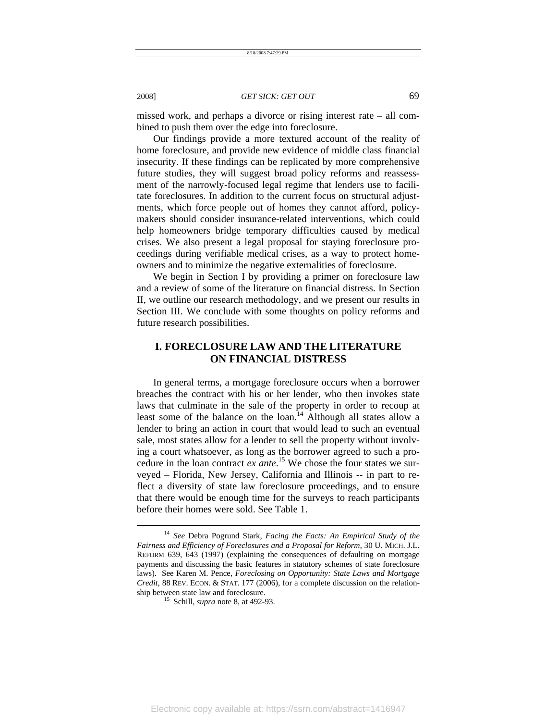missed work, and perhaps a divorce or rising interest rate – all combined to push them over the edge into foreclosure.

Our findings provide a more textured account of the reality of home foreclosure, and provide new evidence of middle class financial insecurity. If these findings can be replicated by more comprehensive future studies, they will suggest broad policy reforms and reassessment of the narrowly-focused legal regime that lenders use to facilitate foreclosures. In addition to the current focus on structural adjustments, which force people out of homes they cannot afford, policymakers should consider insurance-related interventions, which could help homeowners bridge temporary difficulties caused by medical crises. We also present a legal proposal for staying foreclosure proceedings during verifiable medical crises, as a way to protect homeowners and to minimize the negative externalities of foreclosure.

We begin in Section I by providing a primer on foreclosure law and a review of some of the literature on financial distress. In Section II, we outline our research methodology, and we present our results in Section III. We conclude with some thoughts on policy reforms and future research possibilities.

# **I. FORECLOSURE LAW AND THE LITERATURE ON FINANCIAL DISTRESS**

In general terms, a mortgage foreclosure occurs when a borrower breaches the contract with his or her lender, who then invokes state laws that culminate in the sale of the property in order to recoup at least some of the balance on the loan.<sup>14</sup> Although all states allow a lender to bring an action in court that would lead to such an eventual sale, most states allow for a lender to sell the property without involving a court whatsoever, as long as the borrower agreed to such a procedure in the loan contract *ex ante*. 15 We chose the four states we surveyed – Florida, New Jersey, California and Illinois -- in part to reflect a diversity of state law foreclosure proceedings, and to ensure that there would be enough time for the surveys to reach participants before their homes were sold. See Table 1.

<sup>14</sup> *See* Debra Pogrund Stark, *Facing the Facts: An Empirical Study of the Fairness and Efficiency of Foreclosures and a Proposal for Reform*, 30 U. MICH. J.L. REFORM 639, 643 (1997) (explaining the consequences of defaulting on mortgage payments and discussing the basic features in statutory schemes of state foreclosure laws). See Karen M. Pence, *Foreclosing on Opportunity: State Laws and Mortgage Credit*, 88 REV. ECON. & STAT. 177 (2006), for a complete discussion on the relationship between state law and foreclosure. 15 Schill, *supra* note 8, at 492-93.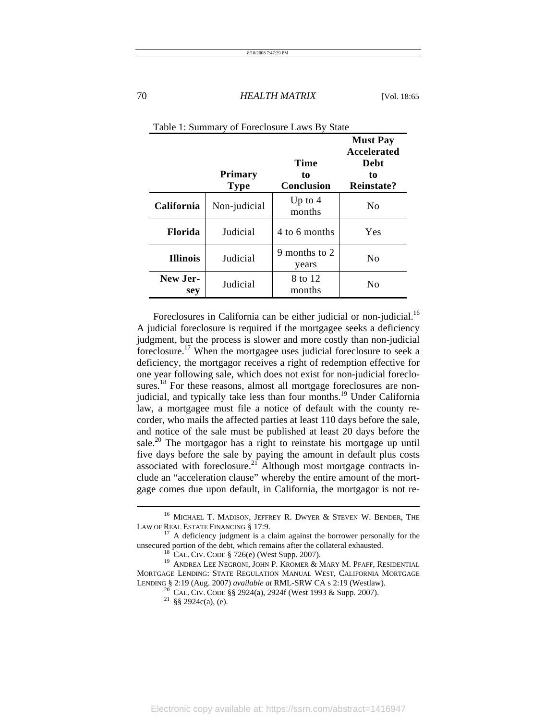|                   | <b>Primary</b><br><b>Type</b> | <b>Time</b><br>to<br><b>Conclusion</b> | <b>Must Pay</b><br>Accelerated<br>Debt<br>to<br>Reinstate? |
|-------------------|-------------------------------|----------------------------------------|------------------------------------------------------------|
| <b>California</b> | Non-judicial                  | Up to $4$<br>months                    | N <sub>0</sub>                                             |
| <b>Florida</b>    | Judicial                      | 4 to 6 months                          | Yes                                                        |
| <b>Illinois</b>   | Judicial                      | 9 months to 2<br>years                 | No                                                         |
| New Jer-<br>sey   | Judicial                      | 8 to 12<br>months                      | No                                                         |

| Table 1: Summary of Foreclosure Laws By State |  |  |
|-----------------------------------------------|--|--|
|-----------------------------------------------|--|--|

Foreclosures in California can be either judicial or non-judicial.<sup>16</sup> A judicial foreclosure is required if the mortgagee seeks a deficiency judgment, but the process is slower and more costly than non-judicial foreclosure.17 When the mortgagee uses judicial foreclosure to seek a deficiency, the mortgagor receives a right of redemption effective for one year following sale, which does not exist for non-judicial foreclosures.<sup>18</sup> For these reasons, almost all mortgage foreclosures are nonjudicial, and typically take less than four months.<sup>19</sup> Under California law, a mortgagee must file a notice of default with the county recorder, who mails the affected parties at least 110 days before the sale, and notice of the sale must be published at least 20 days before the sale.<sup>20</sup> The mortgagor has a right to reinstate his mortgage up until five days before the sale by paying the amount in default plus costs associated with foreclosure.21 Although most mortgage contracts include an "acceleration clause" whereby the entire amount of the mortgage comes due upon default, in California, the mortgagor is not re-

 $^{16}$  MICHAEL T. MADISON, JEFFREY R. DWYER & STEVEN W. BENDER, THE LAW OF REAL ESTATE FINANCING § 17:9.

 $17$  A deficiency judgment is a claim against the borrower personally for the unsecured portion of the debt, which remains after the collateral exhausted.

<sup>&</sup>lt;sup>18</sup> CAL. CIV. CODE § 726(e) (West Supp. 2007). <sup>19</sup> ANDREA LEE NEGRONI, JOHN P. KROMER & MARY M. PFAFF, RESIDENTIAL MORTGAGE LENDING: STATE REGULATION MANUAL WEST, CALIFORNIA MORTGAGE LENDING § 2:19 (Aug. 2007) *available at* RML-SRW CA s 2:19 (Westlaw).

<sup>&</sup>lt;sup>20</sup> CAL. CIV. CODE §§ 2924(a), 2924f (West 1993 & Supp. 2007). <sup>21</sup> §§ 2924c(a), (e).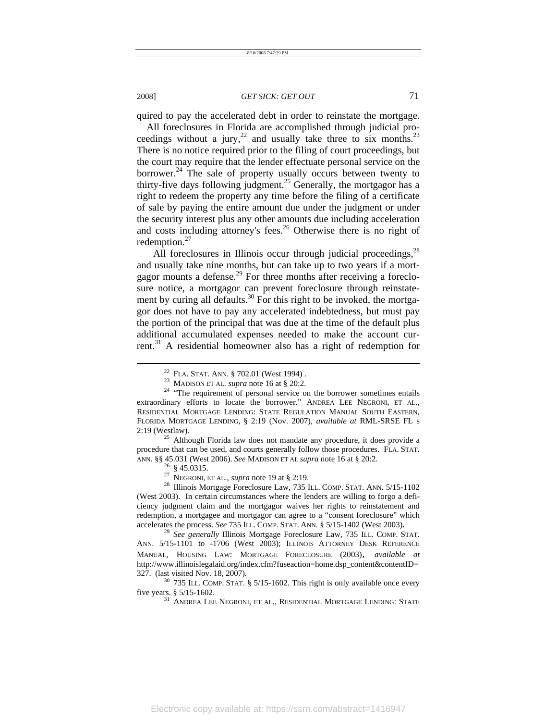quired to pay the accelerated debt in order to reinstate the mortgage.

All foreclosures in Florida are accomplished through judicial proceedings without a jury,<sup>22</sup> and usually take three to six months.<sup>23</sup> There is no notice required prior to the filing of court proceedings, but the court may require that the lender effectuate personal service on the borrower.<sup>24</sup> The sale of property usually occurs between twenty to thirty-five days following judgment.<sup>25</sup> Generally, the mortgagor has a right to redeem the property any time before the filing of a certificate of sale by paying the entire amount due under the judgment or under the security interest plus any other amounts due including acceleration and costs including attorney's fees.<sup>26</sup> Otherwise there is no right of redemption.27

All foreclosures in Illinois occur through judicial proceedings,<sup>28</sup> and usually take nine months, but can take up to two years if a mortgagor mounts a defense.<sup>29</sup> For three months after receiving a foreclosure notice, a mortgagor can prevent foreclosure through reinstatement by curing all defaults.<sup>30</sup> For this right to be invoked, the mortgagor does not have to pay any accelerated indebtedness, but must pay the portion of the principal that was due at the time of the default plus additional accumulated expenses needed to make the account current.<sup>31</sup> A residential homeowner also has a right of redemption for

procedure that can be used, and courts generally follow those procedures. FLA. STAT. ANN. §§ 45.031 (West 2006). *See* MADISON ET AL *supra* note 16 at § 20:2.<br><sup>26</sup> § 45.0315.<br><sup>27</sup> NEGRONI, ET AL., *supra* note 19 at § 2:19.

l

<sup>28</sup> Illinois Mortgage Foreclosure Law, 735 ILL. COMP. STAT. ANN. 5/15-1102 (West 2003). In certain circumstances where the lenders are willing to forgo a deficiency judgment claim and the mortgagor waives her rights to reinstatement and redemption, a mortgagee and mortgagor can agree to a "consent foreclosure" which accelerates the process. See 735 ILL. COMP. STAT. ANN. § 5/15-1402 (West 2003).

<sup>29</sup> See generally Illinois Mortgage Foreclosure Law, 735 ILL. COMP. STAT. ANN. 5/15-1101 to -1706 (West 2003); ILLINOIS ATTORNEY DESK REFERENCE MANUAL, HOUSING LAW: MORTGAGE FORECLOSURE (2003), *available at* http://www.illinoislegalaid.org/index.cfm?fuseaction=home.dsp\_content&contentID=

327. (last visited Nov. 18, 2007). <sup>30</sup> 735 ILL. COMP. STAT. § 5/15-1602. This right is only available once every five years. § 5/15-1602.

 $^{31}$  ANDREA LEE NEGRONI, ET AL., RESIDENTIAL MORTGAGE LENDING:  $\operatorname{STATE}$ 

<sup>&</sup>lt;sup>22</sup> FLA. STAT. ANN. § 702.01 (West 1994) .<br><sup>23</sup> MADISON ET AL. *supra* note 16 at § 20:2.<br><sup>24</sup> "The requirement of personal service on the borrower sometimes entails extraordinary efforts to locate the borrower." ANDREA LEE NEGRONI, ET AL., RESIDENTIAL MORTGAGE LENDING: STATE REGULATION MANUAL SOUTH EASTERN, FLORIDA MORTGAGE LENDING, § 2:19 (Nov. 2007), *available at* RML-SRSE FL s 2:19 (Westlaw).  $^{25}$  Although Florida law does not mandate any procedure, it does provide a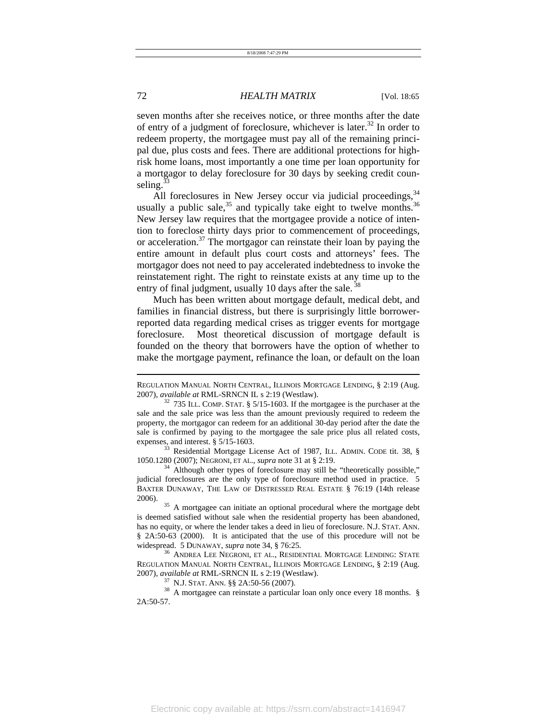seven months after she receives notice, or three months after the date of entry of a judgment of foreclosure, whichever is later.<sup>32</sup> In order to redeem property, the mortgagee must pay all of the remaining principal due, plus costs and fees. There are additional protections for highrisk home loans, most importantly a one time per loan opportunity for a mortgagor to delay foreclosure for 30 days by seeking credit counseling. $33$ 

All foreclosures in New Jersey occur via judicial proceedings, <sup>34</sup> usually a public sale,  $35$  and typically take eight to twelve months.  $36$ New Jersey law requires that the mortgagee provide a notice of intention to foreclose thirty days prior to commencement of proceedings, or acceleration. $37$  The mortgagor can reinstate their loan by paying the entire amount in default plus court costs and attorneys' fees. The mortgagor does not need to pay accelerated indebtedness to invoke the reinstatement right. The right to reinstate exists at any time up to the entry of final judgment, usually 10 days after the sale.<sup>38</sup>

Much has been written about mortgage default, medical debt, and families in financial distress, but there is surprisingly little borrowerreported data regarding medical crises as trigger events for mortgage foreclosure. Most theoretical discussion of mortgage default is founded on the theory that borrowers have the option of whether to make the mortgage payment, refinance the loan, or default on the loan

expenses, and interest. § 5/15-1603.<br><sup>33</sup> Residential Mortgage License Act of 1987, ILL. ADMIN. CODE tit. 38, § 1050.1280 (2007); NEGRONI, ET AL., *supra* note 31 at § 2:19.

<sup>34</sup> Although other types of foreclosure may still be "theoretically possible," judicial foreclosures are the only type of foreclosure method used in practice. 5 BAXTER DUNAWAY, THE LAW OF DISTRESSED REAL ESTATE § 76:19 (14th release 2006).<br><sup>35</sup> A mortgagee can initiate an optional procedural where the mortgage debt

is deemed satisfied without sale when the residential property has been abandoned, has no equity, or where the lender takes a deed in lieu of foreclosure. N.J. STAT. ANN. § 2A:50-63 (2000). It is anticipated that the use of this procedure will not be widespread. 5 DUNAWAY, *supra* note 34, § 76:25.<br><sup>36</sup> ANDREA LEE NEGRONI, ET AL., RESIDENTIAL MORTGAGE LENDING: STATE

REGULATION MANUAL NORTH CENTRAL, ILLINOIS MORTGAGE LENDING, § 2:19 (Aug.

2007), *available at* RML-SRNCN IL s 2:19 (Westlaw).<br><sup>37</sup> N.J. STAT. ANN. §§ 2A:50-56 (2007).<br><sup>38</sup> A mortgagee can reinstate a particular loan only once every 18 months. § 2A:50-57.

REGULATION MANUAL NORTH CENTRAL, ILLINOIS MORTGAGE LENDING, § 2:19 (Aug.

<sup>2007),</sup> *available at* RML-SRNCN IL s 2:19 (Westlaw). 32 735 ILL. COMP. STAT. § 5/15-1603. If the mortgagee is the purchaser at the sale and the sale price was less than the amount previously required to redeem the property, the mortgagor can redeem for an additional 30-day period after the date the sale is confirmed by paying to the mortgagee the sale price plus all related costs,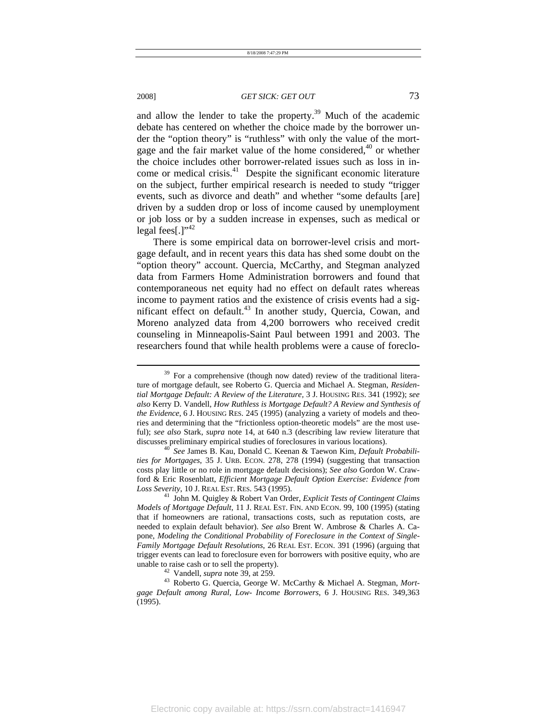l

#### 2008] *GET SICK: GET OUT* 73

and allow the lender to take the property. $39$  Much of the academic debate has centered on whether the choice made by the borrower under the "option theory" is "ruthless" with only the value of the mortgage and the fair market value of the home considered, $40$  or whether the choice includes other borrower-related issues such as loss in income or medical crisis.<sup>41</sup> Despite the significant economic literature on the subject, further empirical research is needed to study "trigger events, such as divorce and death" and whether "some defaults [are] driven by a sudden drop or loss of income caused by unemployment or job loss or by a sudden increase in expenses, such as medical or legal fees[.] $"^{42}$ 

There is some empirical data on borrower-level crisis and mortgage default, and in recent years this data has shed some doubt on the "option theory" account. Quercia, McCarthy, and Stegman analyzed data from Farmers Home Administration borrowers and found that contemporaneous net equity had no effect on default rates whereas income to payment ratios and the existence of crisis events had a significant effect on default.<sup>43</sup> In another study, Quercia, Cowan, and Moreno analyzed data from 4,200 borrowers who received credit counseling in Minneapolis-Saint Paul between 1991 and 2003. The researchers found that while health problems were a cause of foreclo-

 $39$  For a comprehensive (though now dated) review of the traditional literature of mortgage default, see Roberto G. Quercia and Michael A. Stegman, *Residential Mortgage Default: A Review of the Literature,* 3 J. HOUSING RES. 341 (1992); *see also* Kerry D. Vandell, *How Ruthless is Mortgage Default? A Review and Synthesis of the Evidence*, 6 J. HOUSING RES. 245 (1995) (analyzing a variety of models and theories and determining that the "frictionless option-theoretic models" are the most useful); *see also* Stark, *supra* note 14, at 640 n.3 (describing law review literature that discusses preliminary empirical studies of foreclosures in various locations). 40 *See* James B. Kau, Donald C. Keenan & Taewon Kim, *Default Probabili-*

*ties for Mortgages*, 35 J. URB. ECON. 278, 278 (1994) (suggesting that transaction costs play little or no role in mortgage default decisions); *See also* Gordon W. Crawford & Eric Rosenblatt, *Efficient Mortgage Default Option Exercise: Evidence from Loss Severity*, 10 J. REAL EST. RES. 543 (1995). 41 John M. Quigley & Robert Van Order, *Explicit Tests of Contingent Claims* 

*Models of Mortgage Default*, 11 J. REAL EST. FIN. AND ECON. 99, 100 (1995) (stating that if homeowners are rational, transactions costs, such as reputation costs, are needed to explain default behavior). *See also* Brent W. Ambrose & Charles A. Capone, *Modeling the Conditional Probability of Foreclosure in the Context of Single-Family Mortgage Default Resolutions*, 26 REAL EST. ECON. 391 (1996) (arguing that trigger events can lead to foreclosure even for borrowers with positive equity, who are unable to raise cash or to sell the property). 42 Vandell, *supra* note 39, at 259. 43 Roberto G. Quercia, George W. McCarthy & Michael A. Stegman, *Mort-*

*gage Default among Rural, Low- Income Borrowers*, 6 J. HOUSING RES. 349,363 (1995).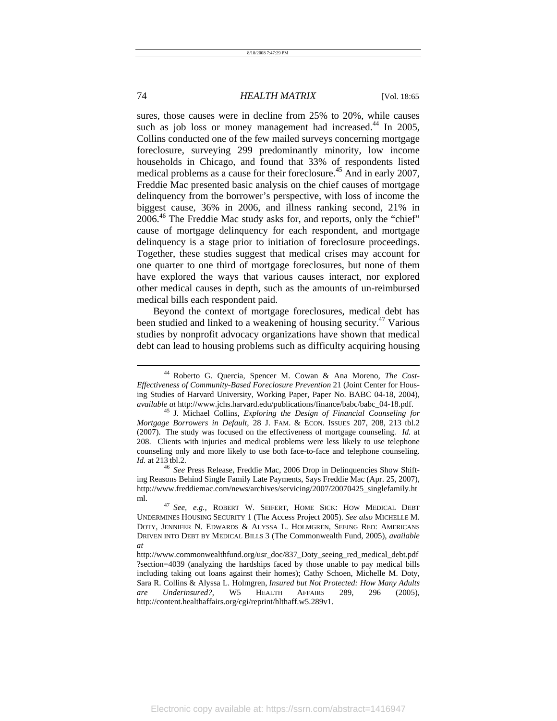sures, those causes were in decline from 25% to 20%, while causes such as job loss or money management had increased.<sup>44</sup> In 2005, Collins conducted one of the few mailed surveys concerning mortgage foreclosure, surveying 299 predominantly minority, low income households in Chicago, and found that 33% of respondents listed medical problems as a cause for their foreclosure.<sup>45</sup> And in early 2007, Freddie Mac presented basic analysis on the chief causes of mortgage delinquency from the borrower's perspective, with loss of income the biggest cause, 36% in 2006, and illness ranking second, 21% in 2006.46 The Freddie Mac study asks for, and reports, only the "chief" cause of mortgage delinquency for each respondent, and mortgage delinquency is a stage prior to initiation of foreclosure proceedings. Together, these studies suggest that medical crises may account for one quarter to one third of mortgage foreclosures, but none of them have explored the ways that various causes interact, nor explored other medical causes in depth, such as the amounts of un-reimbursed medical bills each respondent paid.

Beyond the context of mortgage foreclosures, medical debt has been studied and linked to a weakening of housing security.<sup>47</sup> Various studies by nonprofit advocacy organizations have shown that medical debt can lead to housing problems such as difficulty acquiring housing

<sup>44</sup> Roberto G. Quercia, Spencer M. Cowan & Ana Moreno, *The Cost-Effectiveness of Community-Based Foreclosure Prevention* 21 (Joint Center for Housing Studies of Harvard University, Working Paper, Paper No. BABC 04-18, 2004), *available at* http://www.jchs.harvard.edu/publications/finance/babc/babc\_04-18.pdf. 45 J. Michael Collins, *Exploring the Design of Financial Counseling for* 

*Mortgage Borrowers in Default*, 28 J. FAM. & ECON. ISSUES 207, 208, 213 tbl.2 (2007). The study was focused on the effectiveness of mortgage counseling. *Id.* at 208. Clients with injuries and medical problems were less likely to use telephone counseling only and more likely to use both face-to-face and telephone counseling. *Id.* at 213 tbl.2.

<sup>46</sup> *See* Press Release, Freddie Mac, 2006 Drop in Delinquencies Show Shifting Reasons Behind Single Family Late Payments, Says Freddie Mac (Apr. 25, 2007), http://www.freddiemac.com/news/archives/servicing/2007/20070425\_singlefamily.ht ml. 47 *See, e.g.*, ROBERT W. SEIFERT, HOME SICK: HOW MEDICAL DEBT

UNDERMINES HOUSING SECURITY 1 (The Access Project 2005). *See also* MICHELLE M. DOTY, JENNIFER N. EDWARDS & ALYSSA L. HOLMGREN, SEEING RED: AMERICANS DRIVEN INTO DEBT BY MEDICAL BILLS 3 (The Commonwealth Fund, 2005), *available at*

http://www.commonwealthfund.org/usr\_doc/837\_Doty\_seeing\_red\_medical\_debt.pdf ?section=4039 (analyzing the hardships faced by those unable to pay medical bills including taking out loans against their homes); Cathy Schoen, Michelle M. Doty, Sara R. Collins & Alyssa L. Holmgren, *Insured but Not Protected: How Many Adults are Underinsured?*, W5 HEALTH AFFAIRS 289, 296 (2005), http://content.healthaffairs.org/cgi/reprint/hlthaff.w5.289v1.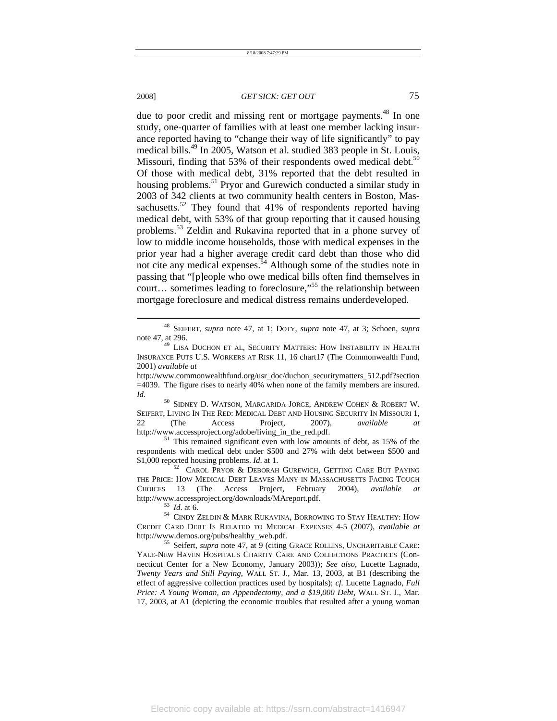l

### 2008] *GET SICK: GET OUT* 75

due to poor credit and missing rent or mortgage payments.<sup>48</sup> In one study, one-quarter of families with at least one member lacking insurance reported having to "change their way of life significantly" to pay medical bills.49 In 2005, Watson et al. studied 383 people in St. Louis, Missouri, finding that 53% of their respondents owed medical debt.<sup>50</sup> Of those with medical debt, 31% reported that the debt resulted in housing problems.<sup>51</sup> Pryor and Gurewich conducted a similar study in 2003 of 342 clients at two community health centers in Boston, Massachusetts.<sup>52</sup> They found that 41% of respondents reported having medical debt, with 53% of that group reporting that it caused housing problems.53 Zeldin and Rukavina reported that in a phone survey of low to middle income households, those with medical expenses in the prior year had a higher average credit card debt than those who did not cite any medical expenses.<sup>54</sup> Although some of the studies note in passing that "[p]eople who owe medical bills often find themselves in court… sometimes leading to foreclosure,"55 the relationship between mortgage foreclosure and medical distress remains underdeveloped.

SEIFERT, LIVING IN THE RED: MEDICAL DEBT AND HOUSING SECURITY IN MISSOURI 1, 22 (The Access Project, 2007), *available at* http://www.accessproject.org/adobe/living\_in\_the\_red.pdf. 51 This remained significant even with low amounts of debt, as 15% of the

respondents with medical debt under \$500 and  $27\%$  with debt between \$500 and \$1,000 reported housing problems. *Id.* at 1.

<sup>52</sup> CAROL PRYOR & DEBORAH GUREWICH, GETTING CARE BUT PAYING THE PRICE: HOW MEDICAL DEBT LEAVES MANY IN MASSACHUSETTS FACING TOUGH CHOICES 13 (The Access Project, February 2004), *available at* http://www.accessproject.org/downloads/MAreport.pdf. 53 *Id*. at 6. 54 CINDY ZELDIN & MARK RUKAVINA, BORROWING TO STAY HEALTHY: HOW

YALE-NEW HAVEN HOSPITAL'S CHARITY CARE AND COLLECTIONS PRACTICES (Connecticut Center for a New Economy, January 2003)); *See also*, Lucette Lagnado, *Twenty Years and Still Paying*, WALL ST. J., Mar. 13, 2003, at B1 (describing the effect of aggressive collection practices used by hospitals); *cf.* Lucette Lagnado, *Full Price: A Young Woman, an Appendectomy, and a \$19,000 Debt,* WALL ST. J., Mar. 17, 2003, at A1 (depicting the economic troubles that resulted after a young woman

<sup>48</sup> SEIFERT, *supra* note 47, at 1; DOTY, *supra* note 47, at 3; Schoen, *supra* note 47, at 296. 49 LISA DUCHON ET AL, SECURITY MATTERS: HOW INSTABILITY IN HEALTH

INSURANCE PUTS U.S. WORKERS AT RISK 11, 16 chart17 (The Commonwealth Fund, 2001) *available at*

http://www.commonwealthfund.org/usr\_doc/duchon\_securitymatters\_512.pdf?section =4039. The figure rises to nearly 40% when none of the family members are insured. *Id.* 50 SIDNEY D. WATSON, MARGARIDA JORGE, ANDREW COHEN & ROBERT W.

CREDIT CARD DEBT IS RELATED TO MEDICAL EXPENSES 4-5 (2007), *available at*  http://www.demos.org/pubs/healthy\_web.pdf. 55 Seifert, *supra* note 47, at 9 (citing GRACE ROLLINS, UNCHARITABLE CARE: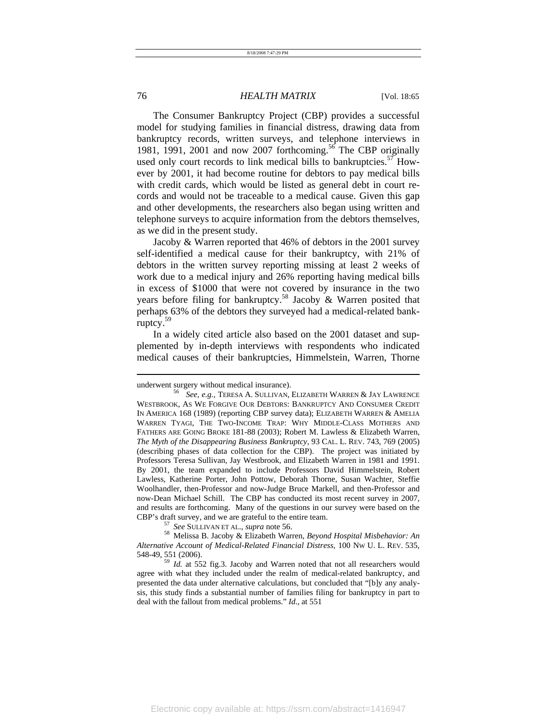The Consumer Bankruptcy Project (CBP) provides a successful model for studying families in financial distress, drawing data from bankruptcy records, written surveys, and telephone interviews in 1981, 1991, 2001 and now 2007 forthcoming.<sup>56</sup> The CBP originally used only court records to link medical bills to bankruptcies.<sup>57</sup> However by 2001, it had become routine for debtors to pay medical bills with credit cards, which would be listed as general debt in court records and would not be traceable to a medical cause. Given this gap and other developments, the researchers also began using written and telephone surveys to acquire information from the debtors themselves, as we did in the present study.

Jacoby & Warren reported that 46% of debtors in the 2001 survey self-identified a medical cause for their bankruptcy, with 21% of debtors in the written survey reporting missing at least 2 weeks of work due to a medical injury and 26% reporting having medical bills in excess of \$1000 that were not covered by insurance in the two years before filing for bankruptcy.<sup>58</sup> Jacoby & Warren posited that perhaps 63% of the debtors they surveyed had a medical-related bankruptcy.59

In a widely cited article also based on the 2001 dataset and supplemented by in-depth interviews with respondents who indicated medical causes of their bankruptcies, Himmelstein, Warren, Thorne

underwent surgery without medical insurance).<br><sup>56</sup> *See, e.g.*, TERESA A. SULLIVAN, ELIZABETH WARREN & JAY LAWRENCE WESTBROOK, AS WE FORGIVE OUR DEBTORS: BANKRUPTCY AND CONSUMER CREDIT IN AMERICA 168 (1989) (reporting CBP survey data); ELIZABETH WARREN & AMELIA WARREN TYAGI, THE TWO-INCOME TRAP: WHY MIDDLE-CLASS MOTHERS AND FATHERS ARE GOING BROKE 181-88 (2003); Robert M. Lawless & Elizabeth Warren, *The Myth of the Disappearing Business Bankruptcy,* 93 CAL. L. REV. 743, 769 (2005) (describing phases of data collection for the CBP). The project was initiated by Professors Teresa Sullivan, Jay Westbrook, and Elizabeth Warren in 1981 and 1991. By 2001, the team expanded to include Professors David Himmelstein, Robert Lawless, Katherine Porter, John Pottow, Deborah Thorne, Susan Wachter, Steffie Woolhandler, then-Professor and now-Judge Bruce Markell, and then-Professor and now-Dean Michael Schill. The CBP has conducted its most recent survey in 2007, and results are forthcoming. Many of the questions in our survey were based on the

CBP's draft survey, and we are grateful to the entire team. 57 *See* SULLIVAN ET AL., *supra* note 56. 58 Melissa B. Jacoby & Elizabeth Warren, *Beyond Hospital Misbehavior: An Alternative Account of Medical-Related Financial Distress*, 100 NW U. L. REV. 535,

<sup>548-49, 551 (2006). 59</sup> *Id.* at 552 fig.3. Jacoby and Warren noted that not all researchers would agree with what they included under the realm of medical-related bankruptcy, and presented the data under alternative calculations, but concluded that "[b]y any analysis, this study finds a substantial number of families filing for bankruptcy in part to deal with the fallout from medical problems." *Id*., at 551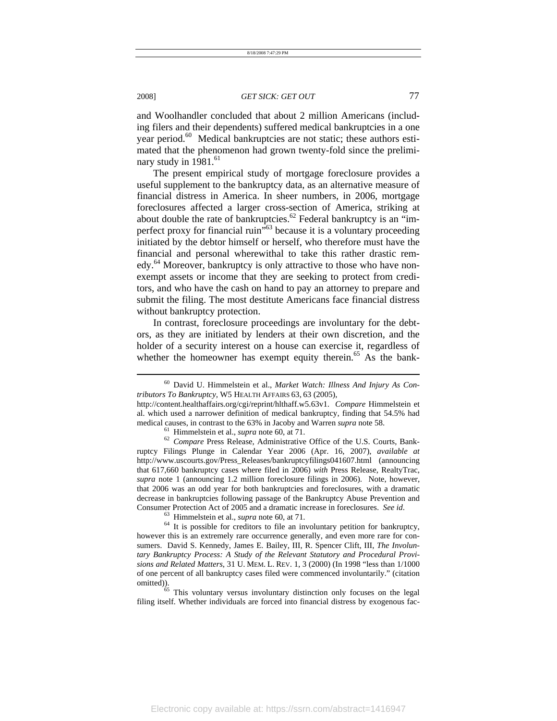and Woolhandler concluded that about 2 million Americans (including filers and their dependents) suffered medical bankruptcies in a one year period.<sup>60</sup> Medical bankruptcies are not static; these authors estimated that the phenomenon had grown twenty-fold since the preliminary study in  $1981.^{61}$ 

The present empirical study of mortgage foreclosure provides a useful supplement to the bankruptcy data, as an alternative measure of financial distress in America. In sheer numbers, in 2006, mortgage foreclosures affected a larger cross-section of America, striking at about double the rate of bankruptcies.<sup>62</sup> Federal bankruptcy is an "imperfect proxy for financial ruin<sup> $\dot{v}$ 63</sup> because it is a voluntary proceeding initiated by the debtor himself or herself, who therefore must have the financial and personal wherewithal to take this rather drastic remedy.<sup>64</sup> Moreover, bankruptcy is only attractive to those who have nonexempt assets or income that they are seeking to protect from creditors, and who have the cash on hand to pay an attorney to prepare and submit the filing. The most destitute Americans face financial distress without bankruptcy protection.

In contrast, foreclosure proceedings are involuntary for the debtors, as they are initiated by lenders at their own discretion, and the holder of a security interest on a house can exercise it, regardless of whether the homeowner has exempt equity therein.<sup>65</sup> As the bank-

<sup>60</sup> David U. Himmelstein et al., *Market Watch: Illness And Injury As Contributors To Bankruptcy*, W5 HEALTH AFFAIRS 63, 63 (2005),

http://content.healthaffairs.org/cgi/reprint/hlthaff.w5.63v1. *Compare* Himmelstein et al. which used a narrower definition of medical bankruptcy, finding that 54.5% had medical causes, in contrast to the 63% in Jacoby and Warren *supra* note 58.<br><sup>61</sup> Himmelstein et al., *supra* note 60, at 71.<br><sup>62</sup> *Compare* Press Release, Administrative Office of the U.S. Courts, Bank-

ruptcy Filings Plunge in Calendar Year 2006 (Apr. 16, 2007), *available at* http://www.uscourts.gov/Press\_Releases/bankruptcyfilings041607.html (announcing that 617,660 bankruptcy cases where filed in 2006) *with* Press Release, RealtyTrac, *supra* note 1 (announcing 1.2 million foreclosure filings in 2006). Note, however, that 2006 was an odd year for both bankruptcies and foreclosures, with a dramatic decrease in bankruptcies following passage of the Bankruptcy Abuse Prevention and

Consumer Protection Act of 2005 and a dramatic increase in foreclosures. *See id.* <sup>63</sup> Himmelstein et al., *supra* note 60, at 71.<br><sup>64</sup> It is possible for creditors to file an involuntary petition for bankruptcy, however this is an extremely rare occurrence generally, and even more rare for consumers. David S. Kennedy, James E. Bailey, III, R. Spencer Clift, III, *The Involuntary Bankruptcy Process: A Study of the Relevant Statutory and Procedural Provisions and Related Matters*, 31 U. MEM. L. REV. 1, 3 (2000) (In 1998 "less than 1/1000 of one percent of all bankruptcy cases filed were commenced involuntarily." (citation omitted)).

This voluntary versus involuntary distinction only focuses on the legal filing itself. Whether individuals are forced into financial distress by exogenous fac-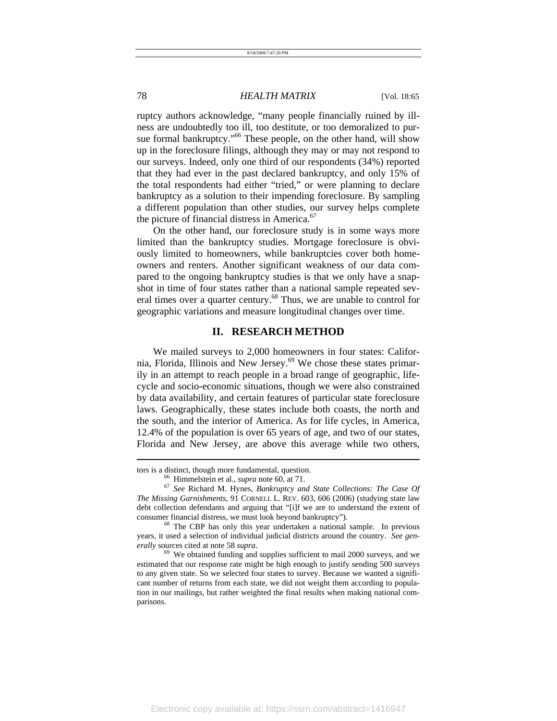ruptcy authors acknowledge, "many people financially ruined by illness are undoubtedly too ill, too destitute, or too demoralized to pursue formal bankruptcy."<sup>66</sup> These people, on the other hand, will show up in the foreclosure filings, although they may or may not respond to our surveys. Indeed, only one third of our respondents (34%) reported that they had ever in the past declared bankruptcy, and only 15% of the total respondents had either "tried," or were planning to declare bankruptcy as a solution to their impending foreclosure. By sampling a different population than other studies, our survey helps complete the picture of financial distress in America. $67$ 

On the other hand, our foreclosure study is in some ways more limited than the bankruptcy studies. Mortgage foreclosure is obviously limited to homeowners, while bankruptcies cover both homeowners and renters. Another significant weakness of our data compared to the ongoing bankruptcy studies is that we only have a snapshot in time of four states rather than a national sample repeated several times over a quarter century.<sup>68</sup> Thus, we are unable to control for geographic variations and measure longitudinal changes over time.

#### **II. RESEARCH METHOD**

We mailed surveys to 2,000 homeowners in four states: California, Florida, Illinois and New Jersey.<sup>69</sup> We chose these states primarily in an attempt to reach people in a broad range of geographic, lifecycle and socio-economic situations, though we were also constrained by data availability, and certain features of particular state foreclosure laws. Geographically, these states include both coasts, the north and the south, and the interior of America. As for life cycles, in America, 12.4% of the population is over 65 years of age, and two of our states, Florida and New Jersey, are above this average while two others,

tors is a distinct, though more fundamental, question.<br><sup>66</sup> Himmelstein et al., *supra* note 60, at 71.<br><sup>67</sup> See Richard M. Hynes, *Bankruptcy and State Collections: The Case Of The Missing Garnishments*, 91 CORNELL L. REV. 603, 606 (2006) (studying state law debt collection defendants and arguing that "[i]f we are to understand the extent of consumer financial distress, we must look beyond bankruptcy"). 68 The CBP has only this year undertaken a national sample. In previous

years, it used a selection of individual judicial districts around the country. *See generally* sources cited at note 58 *supra*.<br><sup>69</sup> We obtained funding and supplies sufficient to mail 2000 surveys, and we

estimated that our response rate might be high enough to justify sending 500 surveys to any given state. So we selected four states to survey. Because we wanted a significant number of returns from each state, we did not weight them according to population in our mailings, but rather weighted the final results when making national comparisons.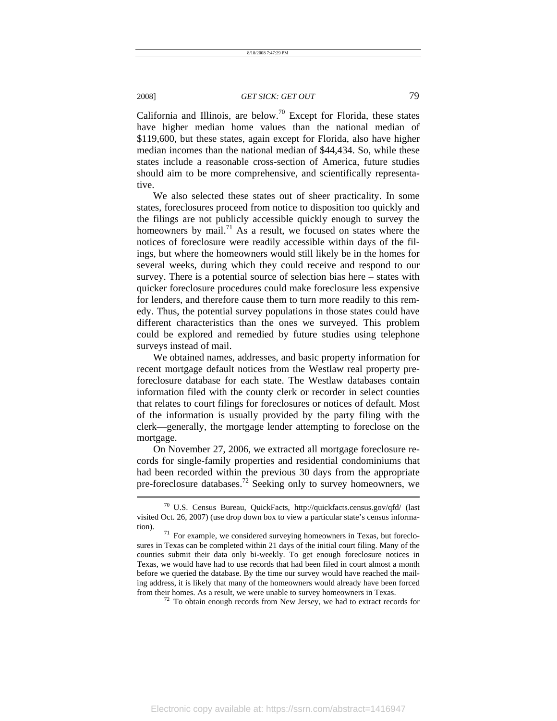California and Illinois, are below.<sup>70</sup> Except for Florida, these states have higher median home values than the national median of \$119,600, but these states, again except for Florida, also have higher median incomes than the national median of \$44,434. So, while these states include a reasonable cross-section of America, future studies should aim to be more comprehensive, and scientifically representative.

We also selected these states out of sheer practicality. In some states, foreclosures proceed from notice to disposition too quickly and the filings are not publicly accessible quickly enough to survey the homeowners by mail.<sup>71</sup> As a result, we focused on states where the notices of foreclosure were readily accessible within days of the filings, but where the homeowners would still likely be in the homes for several weeks, during which they could receive and respond to our survey. There is a potential source of selection bias here – states with quicker foreclosure procedures could make foreclosure less expensive for lenders, and therefore cause them to turn more readily to this remedy. Thus, the potential survey populations in those states could have different characteristics than the ones we surveyed. This problem could be explored and remedied by future studies using telephone surveys instead of mail.

We obtained names, addresses, and basic property information for recent mortgage default notices from the Westlaw real property preforeclosure database for each state. The Westlaw databases contain information filed with the county clerk or recorder in select counties that relates to court filings for foreclosures or notices of default. Most of the information is usually provided by the party filing with the clerk—generally, the mortgage lender attempting to foreclose on the mortgage.

On November 27, 2006, we extracted all mortgage foreclosure records for single-family properties and residential condominiums that had been recorded within the previous 30 days from the appropriate pre-foreclosure databases.<sup>72</sup> Seeking only to survey homeowners, we

<sup>70</sup> U.S. Census Bureau, QuickFacts, http://quickfacts.census.gov/qfd/ (last visited Oct. 26, 2007) (use drop down box to view a particular state's census information).  $71$  For example, we considered surveying homeowners in Texas, but foreclo-

sures in Texas can be completed within 21 days of the initial court filing. Many of the counties submit their data only bi-weekly. To get enough foreclosure notices in Texas, we would have had to use records that had been filed in court almost a month before we queried the database. By the time our survey would have reached the mailing address, it is likely that many of the homeowners would already have been forced from their homes. As a result, we were unable to survey homeowners in Texas. 72 To obtain enough records from New Jersey, we had to extract records for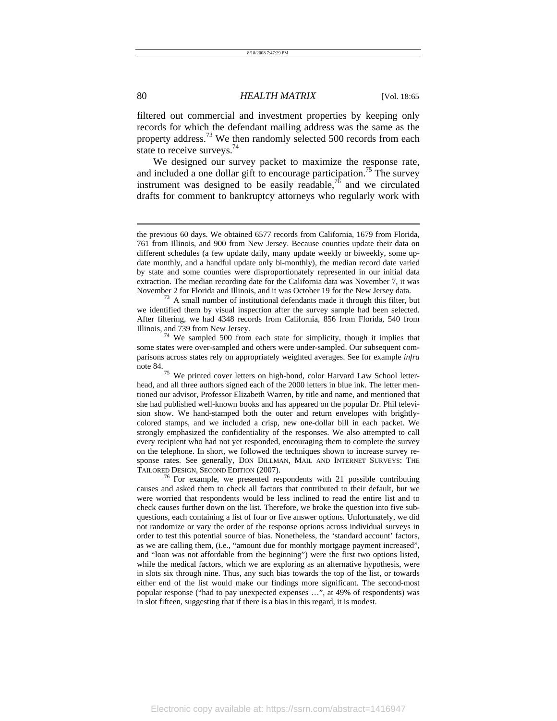filtered out commercial and investment properties by keeping only records for which the defendant mailing address was the same as the property address.<sup>73</sup> We then randomly selected 500 records from each state to receive surveys.<sup>74</sup>

We designed our survey packet to maximize the response rate, and included a one dollar gift to encourage participation.<sup>75</sup> The survey instrument was designed to be easily readable,  $^{76}$  and we circulated drafts for comment to bankruptcy attorneys who regularly work with

the previous 60 days. We obtained 6577 records from California, 1679 from Florida, 761 from Illinois, and 900 from New Jersey. Because counties update their data on different schedules (a few update daily, many update weekly or biweekly, some update monthly, and a handful update only bi-monthly), the median record date varied by state and some counties were disproportionately represented in our initial data extraction. The median recording date for the California data was November 7, it was November 2 for Florida and Illinois, and it was October 19 for the New Jersey data. 73 A small number of institutional defendants made it through this filter, but

we identified them by visual inspection after the survey sample had been selected. After filtering, we had 4348 records from California, 856 from Florida, 540 from Illinois, and 739 from New Jersey.<br>
<sup>74</sup> We sampled 500 from each state for simplicity, though it implies that

some states were over-sampled and others were under-sampled. Our subsequent comparisons across states rely on appropriately weighted averages. See for example *infra*

note 84.<br>
<sup>75</sup> We printed cover letters on high-bond, color Harvard Law School letterhead, and all three authors signed each of the 2000 letters in blue ink. The letter mentioned our advisor, Professor Elizabeth Warren, by title and name, and mentioned that she had published well-known books and has appeared on the popular Dr. Phil television show. We hand-stamped both the outer and return envelopes with brightlycolored stamps, and we included a crisp, new one-dollar bill in each packet. We strongly emphasized the confidentiality of the responses. We also attempted to call every recipient who had not yet responded, encouraging them to complete the survey on the telephone. In short, we followed the techniques shown to increase survey response rates. See generally, DON DILLMAN, MAIL AND INTERNET SURVEYS: THE TAILORED DESIGN, SECOND EDITION (2007).<br><sup>76</sup> For example, we presented respondents with 21 possible contributing

causes and asked them to check all factors that contributed to their default, but we were worried that respondents would be less inclined to read the entire list and to check causes further down on the list. Therefore, we broke the question into five subquestions, each containing a list of four or five answer options. Unfortunately, we did not randomize or vary the order of the response options across individual surveys in order to test this potential source of bias. Nonetheless, the 'standard account' factors, as we are calling them, (i.e., "amount due for monthly mortgage payment increased", and "loan was not affordable from the beginning") were the first two options listed, while the medical factors, which we are exploring as an alternative hypothesis, were in slots six through nine. Thus, any such bias towards the top of the list, or towards either end of the list would make our findings more significant. The second-most popular response ("had to pay unexpected expenses …", at 49% of respondents) was in slot fifteen, suggesting that if there is a bias in this regard, it is modest.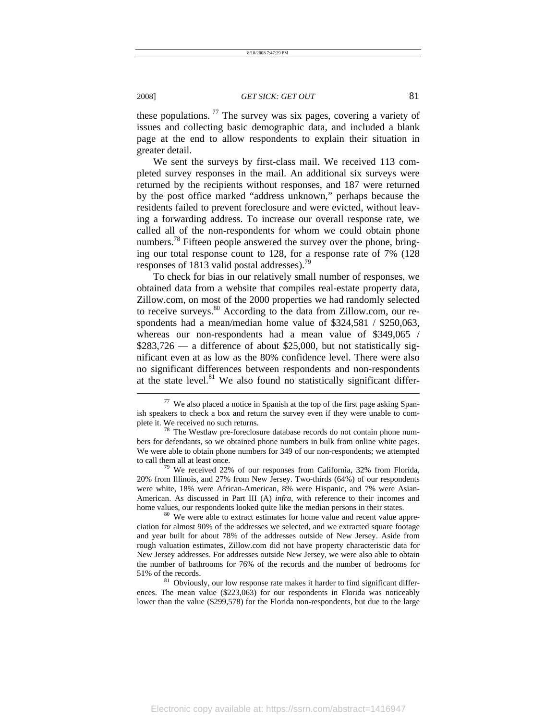these populations.  $77$  The survey was six pages, covering a variety of issues and collecting basic demographic data, and included a blank page at the end to allow respondents to explain their situation in greater detail.

We sent the surveys by first-class mail. We received 113 completed survey responses in the mail. An additional six surveys were returned by the recipients without responses, and 187 were returned by the post office marked "address unknown," perhaps because the residents failed to prevent foreclosure and were evicted, without leaving a forwarding address. To increase our overall response rate, we called all of the non-respondents for whom we could obtain phone numbers.<sup>78</sup> Fifteen people answered the survey over the phone, bringing our total response count to 128, for a response rate of 7% (128 responses of 1813 valid postal addresses).<sup>79</sup>

To check for bias in our relatively small number of responses, we obtained data from a website that compiles real-estate property data, Zillow.com, on most of the 2000 properties we had randomly selected to receive surveys.<sup>80</sup> According to the data from Zillow.com, our respondents had a mean/median home value of \$324,581 / \$250,063, whereas our non-respondents had a mean value of \$349,065 /  $$283,726$  — a difference of about \$25,000, but not statistically significant even at as low as the 80% confidence level. There were also no significant differences between respondents and non-respondents at the state level. $81$  We also found no statistically significant differ-

20% from Illinois, and 27% from New Jersey. Two-thirds (64%) of our respondents were white, 18% were African-American, 8% were Hispanic, and 7% were Asian-American. As discussed in Part III (A) *infra*, with reference to their incomes and home values, our respondents looked quite like the median persons in their states.<br><sup>80</sup> We were able to extract estimates for home value and recent value appre-

ciation for almost 90% of the addresses we selected, and we extracted square footage and year built for about 78% of the addresses outside of New Jersey. Aside from rough valuation estimates, Zillow.com did not have property characteristic data for New Jersey addresses. For addresses outside New Jersey, we were also able to obtain the number of bathrooms for 76% of the records and the number of bedrooms for

51% of the records.<br><sup>81</sup> Obviously, our low response rate makes it harder to find significant differences. The mean value (\$223,063) for our respondents in Florida was noticeably lower than the value (\$299,578) for the Florida non-respondents, but due to the large

<sup>77</sup> We also placed a notice in Spanish at the top of the first page asking Spanish speakers to check a box and return the survey even if they were unable to complete it. We received no such returns. 78 The Westlaw pre-foreclosure database records do not contain phone num-

bers for defendants, so we obtained phone numbers in bulk from online white pages. We were able to obtain phone numbers for 349 of our non-respondents; we attempted to call them all at least once.<br><sup>79</sup> We received 22% of our responses from California, 32% from Florida,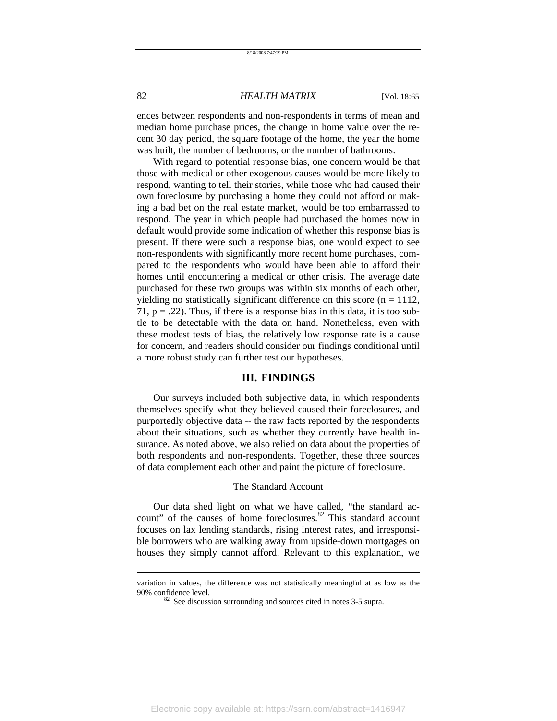ences between respondents and non-respondents in terms of mean and median home purchase prices, the change in home value over the recent 30 day period, the square footage of the home, the year the home was built, the number of bedrooms, or the number of bathrooms.

With regard to potential response bias, one concern would be that those with medical or other exogenous causes would be more likely to respond, wanting to tell their stories, while those who had caused their own foreclosure by purchasing a home they could not afford or making a bad bet on the real estate market, would be too embarrassed to respond. The year in which people had purchased the homes now in default would provide some indication of whether this response bias is present. If there were such a response bias, one would expect to see non-respondents with significantly more recent home purchases, compared to the respondents who would have been able to afford their homes until encountering a medical or other crisis. The average date purchased for these two groups was within six months of each other, yielding no statistically significant difference on this score ( $n = 1112$ , 71,  $p = .22$ ). Thus, if there is a response bias in this data, it is too subtle to be detectable with the data on hand. Nonetheless, even with these modest tests of bias, the relatively low response rate is a cause for concern, and readers should consider our findings conditional until a more robust study can further test our hypotheses.

#### **III. FINDINGS**

Our surveys included both subjective data, in which respondents themselves specify what they believed caused their foreclosures, and purportedly objective data -- the raw facts reported by the respondents about their situations, such as whether they currently have health insurance. As noted above, we also relied on data about the properties of both respondents and non-respondents. Together, these three sources of data complement each other and paint the picture of foreclosure.

#### The Standard Account

Our data shed light on what we have called, "the standard account" of the causes of home foreclosures. $82$  This standard account focuses on lax lending standards, rising interest rates, and irresponsible borrowers who are walking away from upside-down mortgages on houses they simply cannot afford. Relevant to this explanation, we

variation in values, the difference was not statistically meaningful at as low as the 90% confidence level.<br><sup>82</sup> See discussion surrounding and sources cited in notes 3-5 supra.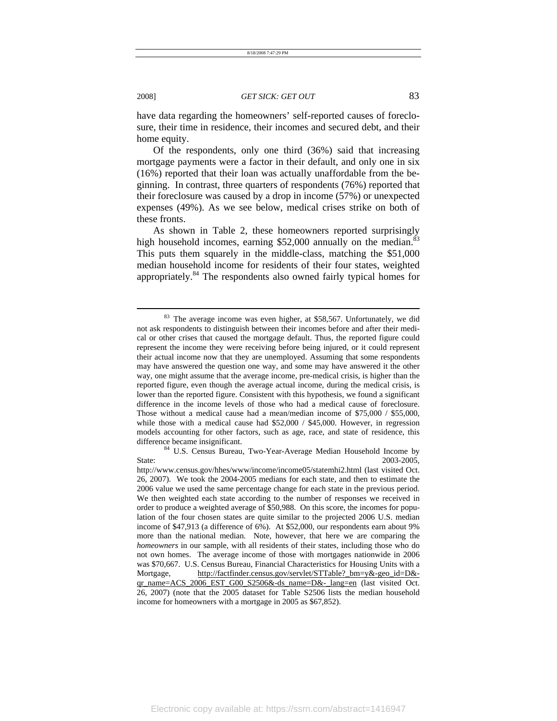have data regarding the homeowners' self-reported causes of foreclosure, their time in residence, their incomes and secured debt, and their home equity.

Of the respondents, only one third (36%) said that increasing mortgage payments were a factor in their default, and only one in six (16%) reported that their loan was actually unaffordable from the beginning. In contrast, three quarters of respondents (76%) reported that their foreclosure was caused by a drop in income (57%) or unexpected expenses (49%). As we see below, medical crises strike on both of these fronts.

As shown in Table 2, these homeowners reported surprisingly high household incomes, earning  $$52,000$  annually on the median.<sup>8</sup> This puts them squarely in the middle-class, matching the \$51,000 median household income for residents of their four states, weighted appropriately.84 The respondents also owned fairly typical homes for

<sup>&</sup>lt;sup>83</sup> The average income was even higher, at \$58,567. Unfortunately, we did not ask respondents to distinguish between their incomes before and after their medical or other crises that caused the mortgage default. Thus, the reported figure could represent the income they were receiving before being injured, or it could represent their actual income now that they are unemployed. Assuming that some respondents may have answered the question one way, and some may have answered it the other way, one might assume that the average income, pre-medical crisis, is higher than the reported figure, even though the average actual income, during the medical crisis, is lower than the reported figure. Consistent with this hypothesis, we found a significant difference in the income levels of those who had a medical cause of foreclosure. Those without a medical cause had a mean/median income of \$75,000 / \$55,000, while those with a medical cause had \$52,000 / \$45,000. However, in regression models accounting for other factors, such as age, race, and state of residence, this

difference became insignificant.<br><sup>84</sup> U.S. Census Bureau, Two-Year-Average Median Household Income by State: 2003-2005.

http://www.census.gov/hhes/www/income/income05/statemhi2.html (last visited Oct. 26, 2007). We took the 2004-2005 medians for each state, and then to estimate the 2006 value we used the same percentage change for each state in the previous period. We then weighted each state according to the number of responses we received in order to produce a weighted average of \$50,988. On this score, the incomes for population of the four chosen states are quite similar to the projected 2006 U.S. median income of \$47,913 (a difference of 6%). At \$52,000, our respondents earn about 9% more than the national median. Note, however, that here we are comparing the *homeowners* in our sample, with all residents of their states, including those who do not own homes. The average income of those with mortgages nationwide in 2006 was \$70,667. U.S. Census Bureau, Financial Characteristics for Housing Units with a Mortgage, http://factfinder.census.gov/servlet/STTable? bm=y&-geo\_id=D& $q$ r\_name=ACS\_2006\_EST\_G00\_S2506&-ds\_name=D&-\_lang=en (last visited Oct. 26, 2007) (note that the 2005 dataset for Table S2506 lists the median household income for homeowners with a mortgage in 2005 as \$67,852).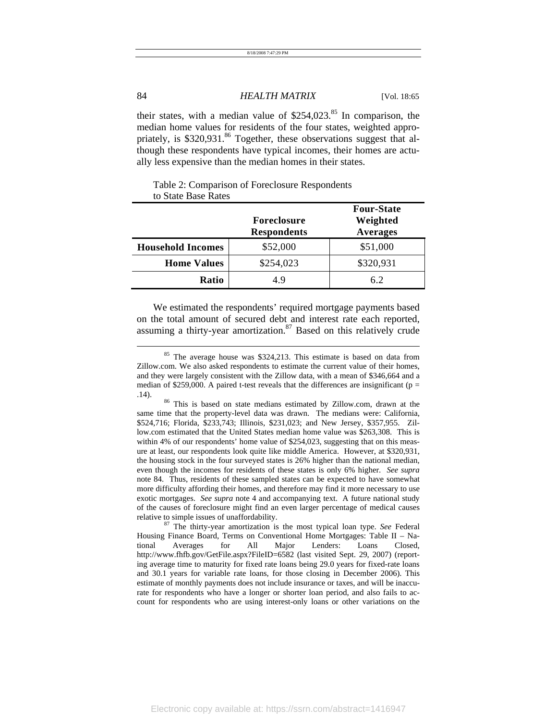| 8/18/2008 7:47:29 PM |
|----------------------|
|                      |

their states, with a median value of  $$254,023$ .<sup>85</sup> In comparison, the median home values for residents of the four states, weighted appropriately, is \$320,931.86 Together, these observations suggest that although these respondents have typical incomes, their homes are actually less expensive than the median homes in their states.

#### Table 2: Comparison of Foreclosure Respondents to State Base Rates

|                          | <b>Foreclosure</b><br><b>Respondents</b> | <b>Four-State</b><br>Weighted<br><b>Averages</b> |
|--------------------------|------------------------------------------|--------------------------------------------------|
| <b>Household Incomes</b> | \$52,000                                 | \$51,000                                         |
| <b>Home Values</b>       | \$254,023                                | \$320,931                                        |
| Ratio                    | 4.9                                      | 6.2                                              |

We estimated the respondents' required mortgage payments based on the total amount of secured debt and interest rate each reported, assuming a thirty-year amortization. $87$  Based on this relatively crude

same time that the property-level data was drawn. The medians were: California, \$524,716; Florida, \$233,743; Illinois, \$231,023; and New Jersey, \$357,955. Zillow.com estimated that the United States median home value was \$263,308. This is within 4% of our respondents' home value of \$254,023, suggesting that on this measure at least, our respondents look quite like middle America. However, at \$320,931, the housing stock in the four surveyed states is 26% higher than the national median, even though the incomes for residents of these states is only 6% higher. *See supra* note 84. Thus, residents of these sampled states can be expected to have somewhat more difficulty affording their homes, and therefore may find it more necessary to use exotic mortgages. *See supra* note 4 and accompanying text. A future national study of the causes of foreclosure might find an even larger percentage of medical causes relative to simple issues of unaffordability. 87 The thirty-year amortization is the most typical loan type. *See* Federal

Housing Finance Board, Terms on Conventional Home Mortgages: Table II – National Averages for All Major Lenders: Loans Closed, http://www.fhfb.gov/GetFile.aspx?FileID=6582 (last visited Sept. 29, 2007) (reporting average time to maturity for fixed rate loans being 29.0 years for fixed-rate loans and 30.1 years for variable rate loans, for those closing in December 2006). This estimate of monthly payments does not include insurance or taxes, and will be inaccurate for respondents who have a longer or shorter loan period, and also fails to account for respondents who are using interest-only loans or other variations on the

<sup>&</sup>lt;sup>85</sup> The average house was \$324,213. This estimate is based on data from Zillow.com. We also asked respondents to estimate the current value of their homes, and they were largely consistent with the Zillow data, with a mean of \$346,664 and a median of \$259,000. A paired t-test reveals that the differences are insignificant ( $p =$ .14). 86 This is based on state medians estimated by Zillow.com, drawn at the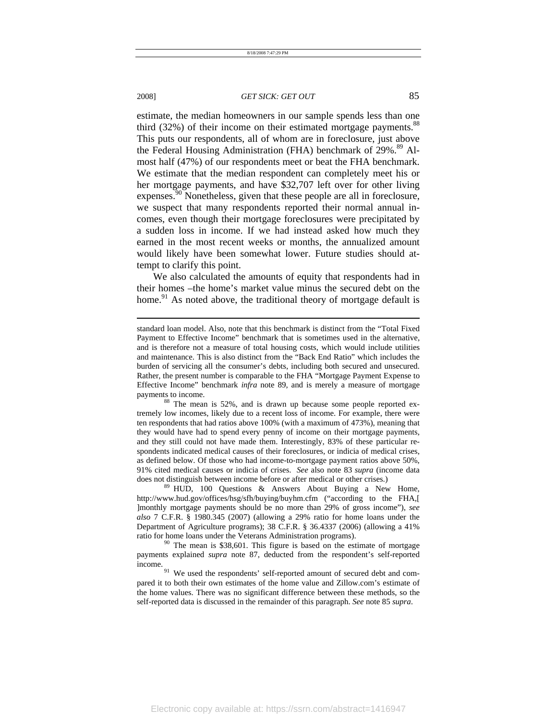l

#### 2008] *GET SICK: GET OUT* 85

estimate, the median homeowners in our sample spends less than one third  $(32\%)$  of their income on their estimated mortgage payments.<sup>88</sup> This puts our respondents, all of whom are in foreclosure, just above the Federal Housing Administration (FHA) benchmark of 29%.<sup>89</sup> Almost half (47%) of our respondents meet or beat the FHA benchmark. We estimate that the median respondent can completely meet his or her mortgage payments, and have \$32,707 left over for other living expenses.<sup>90</sup> Nonetheless, given that these people are all in foreclosure, we suspect that many respondents reported their normal annual incomes, even though their mortgage foreclosures were precipitated by a sudden loss in income. If we had instead asked how much they earned in the most recent weeks or months, the annualized amount would likely have been somewhat lower. Future studies should attempt to clarify this point.

We also calculated the amounts of equity that respondents had in their homes –the home's market value minus the secured debt on the home.<sup>91</sup> As noted above, the traditional theory of mortgage default is

http://www.hud.gov/offices/hsg/sfh/buying/buyhm.cfm ("according to the FHA,[ ]monthly mortgage payments should be no more than 29% of gross income"), *see also* 7 C.F.R. § 1980.345 (2007) (allowing a 29% ratio for home loans under the Department of Agriculture programs); 38 C.F.R. § 36.4337 (2006) (allowing a 41% ratio for home loans under the Veterans Administration programs).<br><sup>90</sup> The mean is \$38,601. This figure is based on the estimate of mortgage

payments explained *supra* note 87, deducted from the respondent's self-reported

income. 91 We used the respondents' self-reported amount of secured debt and compared it to both their own estimates of the home value and Zillow.com's estimate of the home values. There was no significant difference between these methods, so the self-reported data is discussed in the remainder of this paragraph. *See* note 85 *supra*.

standard loan model. Also, note that this benchmark is distinct from the "Total Fixed Payment to Effective Income" benchmark that is sometimes used in the alternative, and is therefore not a measure of total housing costs, which would include utilities and maintenance. This is also distinct from the "Back End Ratio" which includes the burden of servicing all the consumer's debts, including both secured and unsecured. Rather, the present number is comparable to the FHA "Mortgage Payment Expense to Effective Income" benchmark *infra* note 89, and is merely a measure of mortgage payments to income.<br><sup>88</sup> The mean is 52%, and is drawn up because some people reported ex-

tremely low incomes, likely due to a recent loss of income. For example, there were ten respondents that had ratios above 100% (with a maximum of 473%), meaning that they would have had to spend every penny of income on their mortgage payments, and they still could not have made them. Interestingly, 83% of these particular respondents indicated medical causes of their foreclosures, or indicia of medical crises, as defined below. Of those who had income-to-mortgage payment ratios above 50%, 91% cited medical causes or indicia of crises. *See* also note 83 *supra* (income data does not distinguish between income before or after medical or other crises.)<br><sup>89</sup> HUD, 100 Questions & Answers About Buying a New Home,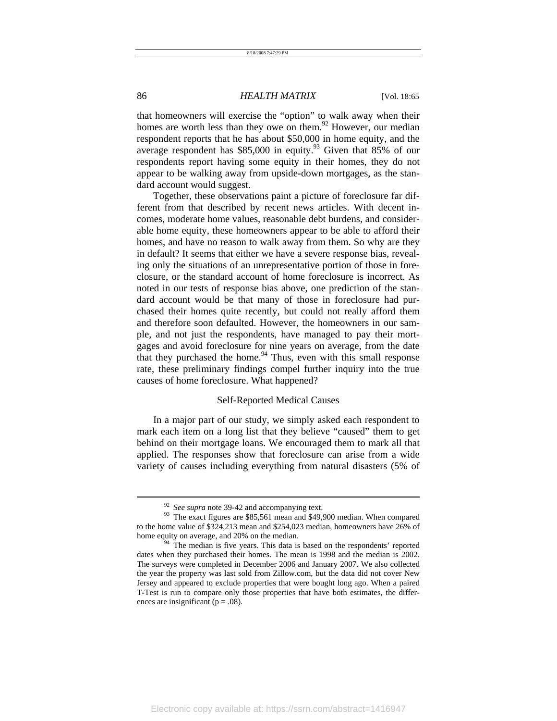that homeowners will exercise the "option" to walk away when their homes are worth less than they owe on them.<sup>92</sup> However, our median respondent reports that he has about \$50,000 in home equity, and the average respondent has \$85,000 in equity.<sup>93</sup> Given that 85% of our respondents report having some equity in their homes, they do not appear to be walking away from upside-down mortgages, as the standard account would suggest.

Together, these observations paint a picture of foreclosure far different from that described by recent news articles. With decent incomes, moderate home values, reasonable debt burdens, and considerable home equity, these homeowners appear to be able to afford their homes, and have no reason to walk away from them. So why are they in default? It seems that either we have a severe response bias, revealing only the situations of an unrepresentative portion of those in foreclosure, or the standard account of home foreclosure is incorrect. As noted in our tests of response bias above, one prediction of the standard account would be that many of those in foreclosure had purchased their homes quite recently, but could not really afford them and therefore soon defaulted. However, the homeowners in our sample, and not just the respondents, have managed to pay their mortgages and avoid foreclosure for nine years on average, from the date that they purchased the home. $94$  Thus, even with this small response rate, these preliminary findings compel further inquiry into the true causes of home foreclosure. What happened?

#### Self-Reported Medical Causes

In a major part of our study, we simply asked each respondent to mark each item on a long list that they believe "caused" them to get behind on their mortgage loans. We encouraged them to mark all that applied. The responses show that foreclosure can arise from a wide variety of causes including everything from natural disasters (5% of

<sup>&</sup>lt;sup>92</sup> See supra note 39-42 and accompanying text.<br><sup>93</sup> The exact figures are \$85,561 mean and \$49,900 median. When compared to the home value of \$324,213 mean and \$254,023 median, homeowners have 26% of home equity on average, and 20% on the median.

The median is five years. This data is based on the respondents' reported dates when they purchased their homes. The mean is 1998 and the median is 2002. The surveys were completed in December 2006 and January 2007. We also collected the year the property was last sold from Zillow.com, but the data did not cover New Jersey and appeared to exclude properties that were bought long ago. When a paired T-Test is run to compare only those properties that have both estimates, the differences are insignificant ( $p = .08$ ).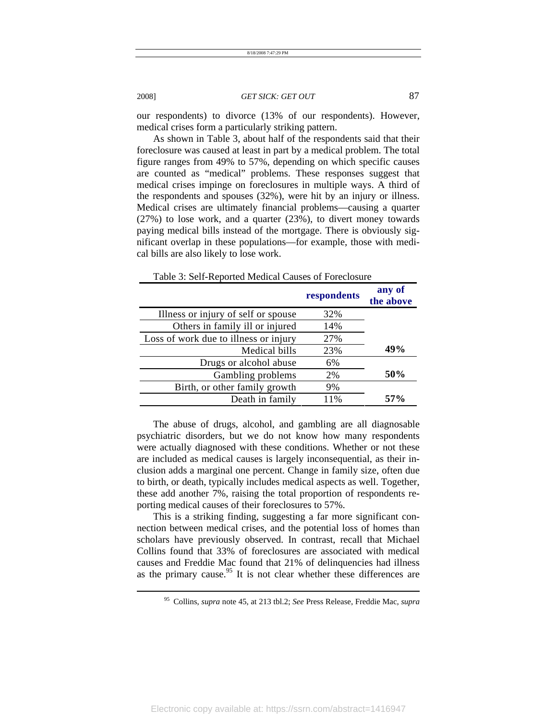our respondents) to divorce (13% of our respondents). However, medical crises form a particularly striking pattern.

As shown in Table 3, about half of the respondents said that their foreclosure was caused at least in part by a medical problem. The total figure ranges from 49% to 57%, depending on which specific causes are counted as "medical" problems. These responses suggest that medical crises impinge on foreclosures in multiple ways. A third of the respondents and spouses (32%), were hit by an injury or illness. Medical crises are ultimately financial problems—causing a quarter (27%) to lose work, and a quarter (23%), to divert money towards paying medical bills instead of the mortgage. There is obviously significant overlap in these populations—for example, those with medical bills are also likely to lose work.

|                                       | respondents | any of<br>the above |
|---------------------------------------|-------------|---------------------|
| Illness or injury of self or spouse   | 32%         |                     |
| Others in family ill or injured       | 14%         |                     |
| Loss of work due to illness or injury | 27%         |                     |
| Medical bills                         | 23%         | 49%                 |
| Drugs or alcohol abuse                | 6%          |                     |
| Gambling problems                     | 2%          | 50%                 |
| Birth, or other family growth         | 9%          |                     |
| Death in family                       | 11%         | 57%                 |

Table 3: Self-Reported Medical Causes of Foreclosure

The abuse of drugs, alcohol, and gambling are all diagnosable psychiatric disorders, but we do not know how many respondents were actually diagnosed with these conditions. Whether or not these are included as medical causes is largely inconsequential, as their inclusion adds a marginal one percent. Change in family size, often due to birth, or death, typically includes medical aspects as well. Together, these add another 7%, raising the total proportion of respondents reporting medical causes of their foreclosures to 57%.

This is a striking finding, suggesting a far more significant connection between medical crises, and the potential loss of homes than scholars have previously observed. In contrast, recall that Michael Collins found that 33% of foreclosures are associated with medical causes and Freddie Mac found that 21% of delinquencies had illness as the primary cause.<sup>95</sup> It is not clear whether these differences are

<sup>95</sup> Collins, *supra* note 45, at 213 tbl.2; *See* Press Release, Freddie Mac, *supra*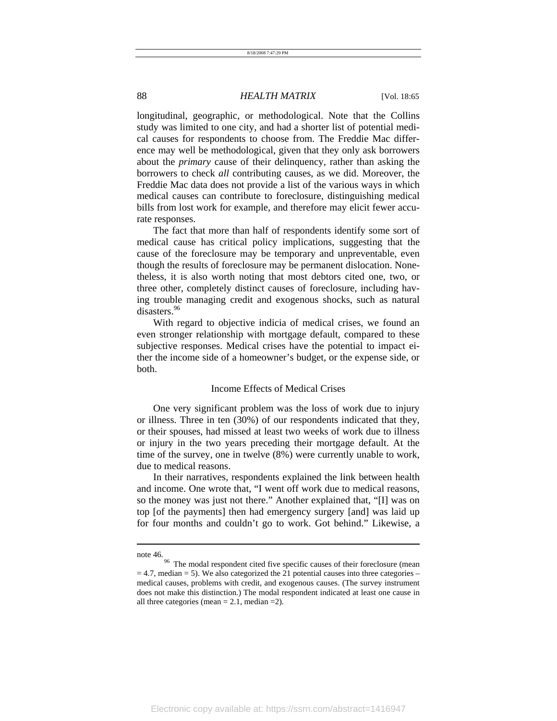longitudinal, geographic, or methodological. Note that the Collins study was limited to one city, and had a shorter list of potential medical causes for respondents to choose from. The Freddie Mac difference may well be methodological, given that they only ask borrowers about the *primary* cause of their delinquency, rather than asking the borrowers to check *all* contributing causes, as we did. Moreover, the Freddie Mac data does not provide a list of the various ways in which medical causes can contribute to foreclosure, distinguishing medical bills from lost work for example, and therefore may elicit fewer accurate responses.

The fact that more than half of respondents identify some sort of medical cause has critical policy implications, suggesting that the cause of the foreclosure may be temporary and unpreventable, even though the results of foreclosure may be permanent dislocation. Nonetheless, it is also worth noting that most debtors cited one, two, or three other, completely distinct causes of foreclosure, including having trouble managing credit and exogenous shocks, such as natural disasters.<sup>96</sup>

With regard to objective indicia of medical crises, we found an even stronger relationship with mortgage default, compared to these subjective responses. Medical crises have the potential to impact either the income side of a homeowner's budget, or the expense side, or both.

#### Income Effects of Medical Crises

One very significant problem was the loss of work due to injury or illness. Three in ten (30%) of our respondents indicated that they, or their spouses, had missed at least two weeks of work due to illness or injury in the two years preceding their mortgage default. At the time of the survey, one in twelve (8%) were currently unable to work, due to medical reasons.

In their narratives, respondents explained the link between health and income. One wrote that, "I went off work due to medical reasons, so the money was just not there." Another explained that, "[I] was on top [of the payments] then had emergency surgery [and] was laid up for four months and couldn't go to work. Got behind." Likewise, a

note 46.<br><sup>96</sup> The modal respondent cited five specific causes of their foreclosure (mean  $= 4.7$ , median  $= 5$ ). We also categorized the 21 potential causes into three categories – medical causes, problems with credit, and exogenous causes. (The survey instrument does not make this distinction.) The modal respondent indicated at least one cause in all three categories (mean  $= 2.1$ , median  $= 2$ ).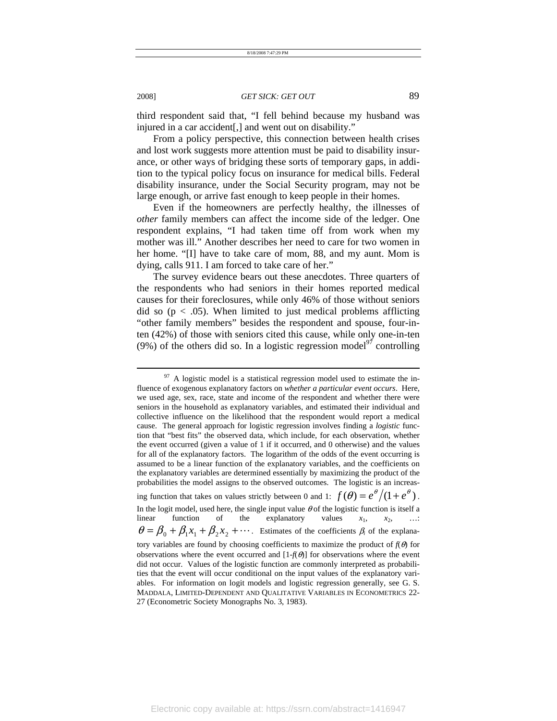third respondent said that, "I fell behind because my husband was injured in a car accident[,] and went out on disability."

From a policy perspective, this connection between health crises and lost work suggests more attention must be paid to disability insurance, or other ways of bridging these sorts of temporary gaps, in addition to the typical policy focus on insurance for medical bills. Federal disability insurance, under the Social Security program, may not be large enough, or arrive fast enough to keep people in their homes.

Even if the homeowners are perfectly healthy, the illnesses of *other* family members can affect the income side of the ledger. One respondent explains, "I had taken time off from work when my mother was ill." Another describes her need to care for two women in her home. "[I] have to take care of mom, 88, and my aunt. Mom is dying, calls 911. I am forced to take care of her."

The survey evidence bears out these anecdotes. Three quarters of the respondents who had seniors in their homes reported medical causes for their foreclosures, while only 46% of those without seniors did so ( $p < .05$ ). When limited to just medical problems afflicting "other family members" besides the respondent and spouse, four-inten (42%) of those with seniors cited this cause, while only one-in-ten (9%) of the others did so. In a logistic regression model<sup>97</sup> controlling

 $97$  A logistic model is a statistical regression model used to estimate the influence of exogenous explanatory factors on *whether a particular event occurs*. Here, we used age, sex, race, state and income of the respondent and whether there were seniors in the household as explanatory variables, and estimated their individual and collective influence on the likelihood that the respondent would report a medical cause. The general approach for logistic regression involves finding a *logistic* function that "best fits" the observed data, which include, for each observation, whether the event occurred (given a value of 1 if it occurred, and 0 otherwise) and the values for all of the explanatory factors. The logarithm of the odds of the event occurring is assumed to be a linear function of the explanatory variables, and the coefficients on the explanatory variables are determined essentially by maximizing the product of the probabilities the model assigns to the observed outcomes. The logistic is an increasing function that takes on values strictly between 0 and 1:  $f(\theta) = e^{\theta} / (1 + e^{\theta})$ . In the logit model, used here, the single input value  $\theta$  of the logistic function is itself a linear function of the explanatory values  $x_1$ ,  $x_2$ , …  $\theta = \beta_0 + \beta_1 x_1 + \beta_2 x_2 + \cdots$ . Estimates of the coefficients  $\beta_i$  of the explanatory variables are found by choosing coefficients to maximize the product of  $f(\theta)$  for observations where the event occurred and  $[1-f(\theta)]$  for observations where the event did not occur. Values of the logistic function are commonly interpreted as probabilities that the event will occur conditional on the input values of the explanatory variables. For information on logit models and logistic regression generally, see G. S. MADDALA, LIMITED-DEPENDENT AND QUALITATIVE VARIABLES IN ECONOMETRICS 22- 27 (Econometric Society Monographs No. 3, 1983).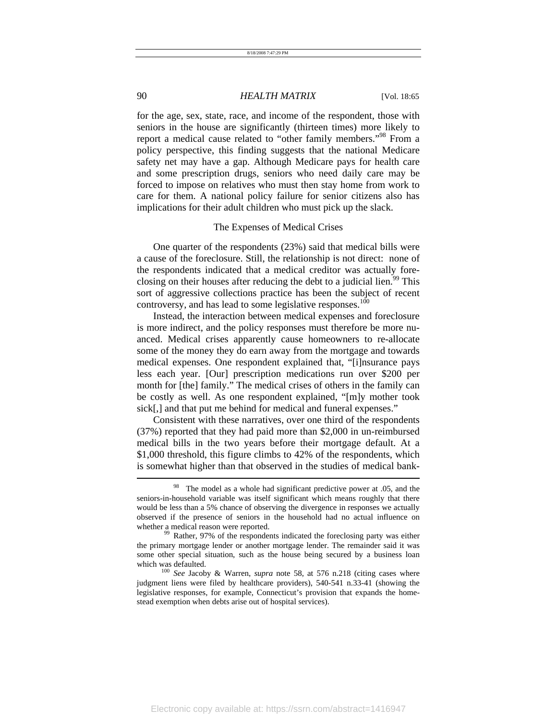for the age, sex, state, race, and income of the respondent, those with seniors in the house are significantly (thirteen times) more likely to report a medical cause related to "other family members."98 From a policy perspective, this finding suggests that the national Medicare safety net may have a gap. Although Medicare pays for health care and some prescription drugs, seniors who need daily care may be forced to impose on relatives who must then stay home from work to care for them. A national policy failure for senior citizens also has implications for their adult children who must pick up the slack.

#### The Expenses of Medical Crises

One quarter of the respondents (23%) said that medical bills were a cause of the foreclosure. Still, the relationship is not direct: none of the respondents indicated that a medical creditor was actually foreclosing on their houses after reducing the debt to a judicial lien.<sup>99</sup> This sort of aggressive collections practice has been the subject of recent controversy, and has lead to some legislative responses.<sup>100</sup>

Instead, the interaction between medical expenses and foreclosure is more indirect, and the policy responses must therefore be more nuanced. Medical crises apparently cause homeowners to re-allocate some of the money they do earn away from the mortgage and towards medical expenses. One respondent explained that, "[i]nsurance pays less each year. [Our] prescription medications run over \$200 per month for [the] family." The medical crises of others in the family can be costly as well. As one respondent explained, "[m]y mother took sick[,] and that put me behind for medical and funeral expenses."

Consistent with these narratives, over one third of the respondents (37%) reported that they had paid more than \$2,000 in un-reimbursed medical bills in the two years before their mortgage default. At a \$1,000 threshold, this figure climbs to 42% of the respondents, which is somewhat higher than that observed in the studies of medical bank-  $\overline{a}$ 

<sup>&</sup>lt;sup>98</sup> The model as a whole had significant predictive power at .05, and the seniors-in-household variable was itself significant which means roughly that there would be less than a 5% chance of observing the divergence in responses we actually observed if the presence of seniors in the household had no actual influence on whether a medical reason were reported.<br><sup>99</sup> Rather, 97% of the respondents indicated the foreclosing party was either

the primary mortgage lender or another mortgage lender. The remainder said it was some other special situation, such as the house being secured by a business loan which was defaulted.<br><sup>100</sup> *See* Jacoby & Warren, *supra* note 58, at 576 n.218 (citing cases where

judgment liens were filed by healthcare providers), 540-541 n.33-41 (showing the legislative responses, for example, Connecticut's provision that expands the homestead exemption when debts arise out of hospital services).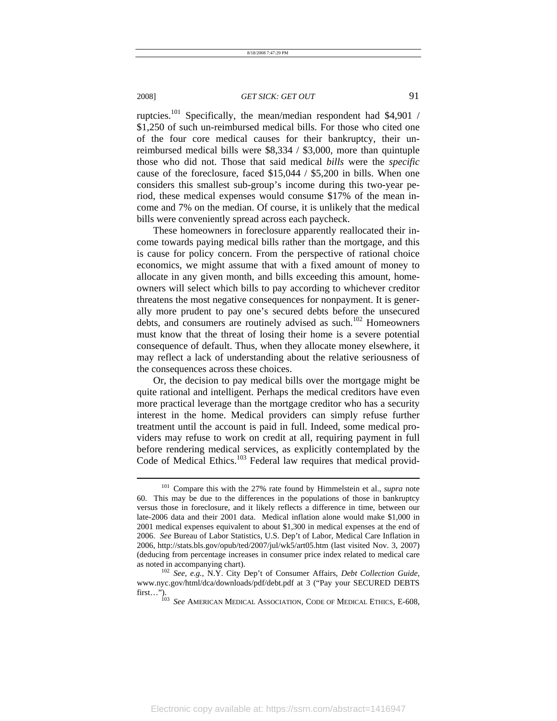l

### 2008] *GET SICK: GET OUT* 91

ruptcies.<sup>101</sup> Specifically, the mean/median respondent had \$4,901 / \$1,250 of such un-reimbursed medical bills. For those who cited one of the four core medical causes for their bankruptcy, their unreimbursed medical bills were \$8,334 / \$3,000, more than quintuple those who did not. Those that said medical *bills* were the *specific* cause of the foreclosure, faced \$15,044 / \$5,200 in bills. When one considers this smallest sub-group's income during this two-year period, these medical expenses would consume \$17% of the mean income and 7% on the median. Of course, it is unlikely that the medical bills were conveniently spread across each paycheck.

These homeowners in foreclosure apparently reallocated their income towards paying medical bills rather than the mortgage, and this is cause for policy concern. From the perspective of rational choice economics, we might assume that with a fixed amount of money to allocate in any given month, and bills exceeding this amount, homeowners will select which bills to pay according to whichever creditor threatens the most negative consequences for nonpayment. It is generally more prudent to pay one's secured debts before the unsecured debts, and consumers are routinely advised as such.<sup>102</sup> Homeowners must know that the threat of losing their home is a severe potential consequence of default. Thus, when they allocate money elsewhere, it may reflect a lack of understanding about the relative seriousness of the consequences across these choices.

Or, the decision to pay medical bills over the mortgage might be quite rational and intelligent. Perhaps the medical creditors have even more practical leverage than the mortgage creditor who has a security interest in the home. Medical providers can simply refuse further treatment until the account is paid in full. Indeed, some medical providers may refuse to work on credit at all, requiring payment in full before rendering medical services, as explicitly contemplated by the Code of Medical Ethics.<sup>103</sup> Federal law requires that medical provid-

<sup>101</sup> Compare this with the 27% rate found by Himmelstein et al., *supra* note 60. This may be due to the differences in the populations of those in bankruptcy versus those in foreclosure, and it likely reflects a difference in time, between our late-2006 data and their 2001 data. Medical inflation alone would make \$1,000 in 2001 medical expenses equivalent to about \$1,300 in medical expenses at the end of 2006. *See* Bureau of Labor Statistics, U.S. Dep't of Labor, Medical Care Inflation in 2006, http://stats.bls.gov/opub/ted/2007/jul/wk5/art05.htm (last visited Nov. 3, 2007) (deducing from percentage increases in consumer price index related to medical care as noted in accompanying chart). 102 *See, e.g.*, N.Y. City Dep't of Consumer Affairs, *Debt Collection Guide*,

www.nyc.gov/html/dca/downloads/pdf/debt.pdf at 3 ("Pay your SECURED DEBTS first...").

**See AMERICAN MEDICAL ASSOCIATION, CODE OF MEDICAL ETHICS, E-608,**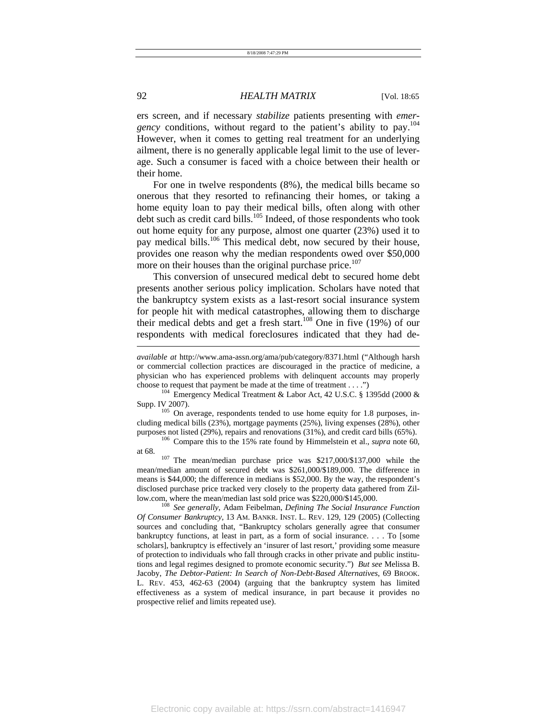ers screen, and if necessary *stabilize* patients presenting with *emergency* conditions, without regard to the patient's ability to pay.104 However, when it comes to getting real treatment for an underlying ailment, there is no generally applicable legal limit to the use of leverage. Such a consumer is faced with a choice between their health or their home.

For one in twelve respondents (8%), the medical bills became so onerous that they resorted to refinancing their homes, or taking a home equity loan to pay their medical bills, often along with other debt such as credit card bills.<sup>105</sup> Indeed, of those respondents who took out home equity for any purpose, almost one quarter (23%) used it to pay medical bills.<sup>106</sup> This medical debt, now secured by their house, provides one reason why the median respondents owed over \$50,000 more on their houses than the original purchase price.<sup>107</sup>

This conversion of unsecured medical debt to secured home debt presents another serious policy implication. Scholars have noted that the bankruptcy system exists as a last-resort social insurance system for people hit with medical catastrophes, allowing them to discharge their medical debts and get a fresh start.<sup>108</sup> One in five (19%) of our respondents with medical foreclosures indicated that they had de-

cluding medical bills (23%), mortgage payments (25%), living expenses (28%), other purposes not listed (29%), repairs and renovations (31%), and credit card bills (65%). <sup>106</sup> Compare this to the 15% rate found by Himmelstein et al., *supra* note 60,

at 68.  $107$  The mean/median purchase price was \$217,000/\$137,000 while the mean/median amount of secured debt was \$261,000/\$189,000. The difference in means is \$44,000; the difference in medians is \$52,000. By the way, the respondent's disclosed purchase price tracked very closely to the property data gathered from Zil-

low.com, where the mean/median last sold price was \$220,000/\$145,000. 108 *See generally*, Adam Feibelman, *Defining The Social Insurance Function Of Consumer Bankruptcy,* 13 AM. BANKR. INST. L. REV. 129, 129 (2005) (Collecting sources and concluding that, "Bankruptcy scholars generally agree that consumer bankruptcy functions, at least in part, as a form of social insurance. . . . To [some scholars], bankruptcy is effectively an 'insurer of last resort,' providing some measure of protection to individuals who fall through cracks in other private and public institutions and legal regimes designed to promote economic security.") *But see* Melissa B. Jacoby, *The Debtor-Patient: In Search of Non-Debt-Based Alternatives*, 69 BROOK. L. REV. 453, 462-63 (2004) (arguing that the bankruptcy system has limited effectiveness as a system of medical insurance, in part because it provides no prospective relief and limits repeated use).

*available at* http://www.ama-assn.org/ama/pub/category/8371.html ("Although harsh or commercial collection practices are discouraged in the practice of medicine, a physician who has experienced problems with delinquent accounts may properly choose to request that payment be made at the time of treatment . . . .") <sup>104</sup> Emergency Medical Treatment & Labor Act, 42 U.S.C. § 1395dd (2000 &

Supp. IV 2007).  $\frac{105}{105}$  On average, respondents tended to use home equity for 1.8 purposes, in-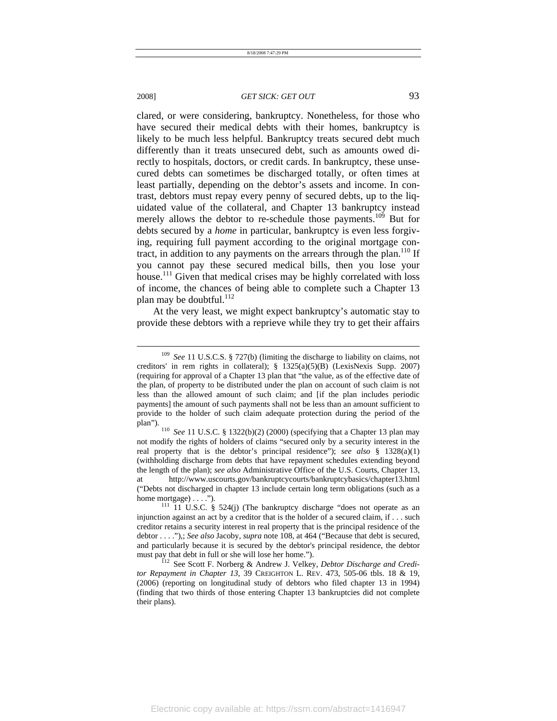l

#### 2008] *GET SICK: GET OUT* 93

clared, or were considering, bankruptcy. Nonetheless, for those who have secured their medical debts with their homes, bankruptcy is likely to be much less helpful. Bankruptcy treats secured debt much differently than it treats unsecured debt, such as amounts owed directly to hospitals, doctors, or credit cards. In bankruptcy, these unsecured debts can sometimes be discharged totally, or often times at least partially, depending on the debtor's assets and income. In contrast, debtors must repay every penny of secured debts, up to the liquidated value of the collateral, and Chapter 13 bankruptcy instead merely allows the debtor to re-schedule those payments.<sup>109</sup> But for debts secured by a *home* in particular, bankruptcy is even less forgiving, requiring full payment according to the original mortgage contract, in addition to any payments on the arrears through the plan.<sup>110</sup> If you cannot pay these secured medical bills, then you lose your house.<sup>111</sup> Given that medical crises may be highly correlated with loss of income, the chances of being able to complete such a Chapter 13 plan may be doubtful.<sup>112</sup>

At the very least, we might expect bankruptcy's automatic stay to provide these debtors with a reprieve while they try to get their affairs

<sup>109</sup> *See* 11 U.S.C.S. § 727(b) (limiting the discharge to liability on claims, not creditors' in rem rights in collateral); § 1325(a)(5)(B) (LexisNexis Supp. 2007) (requiring for approval of a Chapter 13 plan that "the value, as of the effective date of the plan, of property to be distributed under the plan on account of such claim is not less than the allowed amount of such claim; and [if the plan includes periodic payments] the amount of such payments shall not be less than an amount sufficient to provide to the holder of such claim adequate protection during the period of the plan"). 110 *See* 11 U.S.C. § 1322(b)(2) (2000) (specifying that a Chapter 13 plan may

not modify the rights of holders of claims "secured only by a security interest in the real property that is the debtor's principal residence"); *see also* § 1328(a)(1) (withholding discharge from debts that have repayment schedules extending beyond the length of the plan); *see also* Administrative Office of the U.S. Courts, Chapter 13, at http://www.uscourts.gov/bankruptcycourts/bankruptcybasics/chapter13.html ("Debts not discharged in chapter 13 include certain long term obligations (such as a home mortgage) . . . ."). 111 U.S.C. § 524(j) (The bankruptcy discharge "does not operate as an

injunction against an act by a creditor that is the holder of a secured claim, if . . . such creditor retains a security interest in real property that is the principal residence of the debtor . . . ."),; *See also* Jacoby, *supra* note 108, at 464 ("Because that debt is secured, and particularly because it is secured by the debtor's principal residence, the debtor must pay that debt in full or she will lose her home.").<br><sup>112</sup> See Scott F. Norberg & Andrew J. Velkey, *Debtor Discharge and Credi-*

*tor Repayment in Chapter 13*, 39 CREIGHTON L. REV. 473, 505-06 tbls. 18 & 19, (2006) (reporting on longitudinal study of debtors who filed chapter 13 in 1994) (finding that two thirds of those entering Chapter 13 bankruptcies did not complete their plans).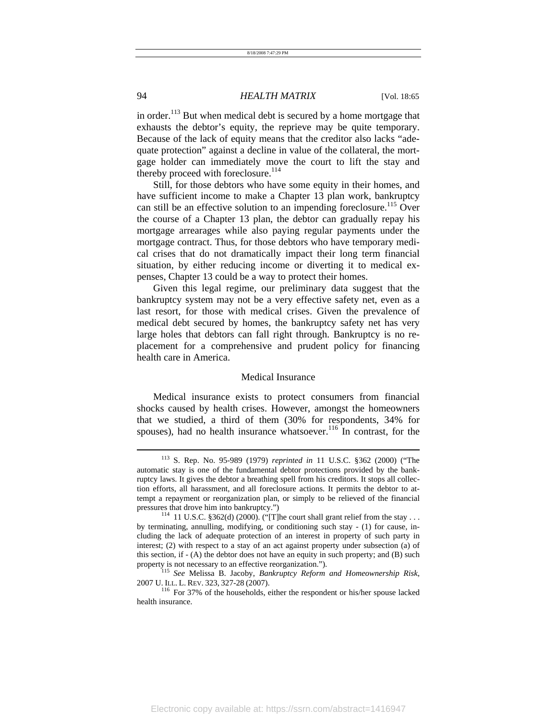in order.<sup>113</sup> But when medical debt is secured by a home mortgage that exhausts the debtor's equity, the reprieve may be quite temporary. Because of the lack of equity means that the creditor also lacks "adequate protection" against a decline in value of the collateral, the mortgage holder can immediately move the court to lift the stay and thereby proceed with foreclosure.<sup>114</sup>

Still, for those debtors who have some equity in their homes, and have sufficient income to make a Chapter 13 plan work, bankruptcy can still be an effective solution to an impending foreclosure.<sup>115</sup> Over the course of a Chapter 13 plan, the debtor can gradually repay his mortgage arrearages while also paying regular payments under the mortgage contract. Thus, for those debtors who have temporary medical crises that do not dramatically impact their long term financial situation, by either reducing income or diverting it to medical expenses, Chapter 13 could be a way to protect their homes.

Given this legal regime, our preliminary data suggest that the bankruptcy system may not be a very effective safety net, even as a last resort, for those with medical crises. Given the prevalence of medical debt secured by homes, the bankruptcy safety net has very large holes that debtors can fall right through. Bankruptcy is no replacement for a comprehensive and prudent policy for financing health care in America.

#### Medical Insurance

Medical insurance exists to protect consumers from financial shocks caused by health crises. However, amongst the homeowners that we studied, a third of them (30% for respondents, 34% for spouses), had no health insurance whatsoever. $116$  In contrast, for the

<sup>113</sup> S. Rep. No. 95-989 (1979) *reprinted in* 11 U.S.C. §362 (2000) ("The automatic stay is one of the fundamental debtor protections provided by the bankruptcy laws. It gives the debtor a breathing spell from his creditors. It stops all collection efforts, all harassment, and all foreclosure actions. It permits the debtor to attempt a repayment or reorganization plan, or simply to be relieved of the financial pressures that drove him into bankruptcy.")<br> $^{114}$  11 U.S.C. §362(d) (2000). ("[T]he court shall grant relief from the stay ...

by terminating, annulling, modifying, or conditioning such stay - (1) for cause, including the lack of adequate protection of an interest in property of such party in interest; (2) with respect to a stay of an act against property under subsection (a) of this section, if - (A) the debtor does not have an equity in such property; and (B) such

property is not necessary to an effective reorganization."). 115 *See* Melissa B. Jacoby, *Bankruptcy Reform and Homeownership Risk*, 2007 U. ILL. L. REV. 323, 327-28 (2007). 116 For 37% of the households, either the respondent or his/her spouse lacked

health insurance.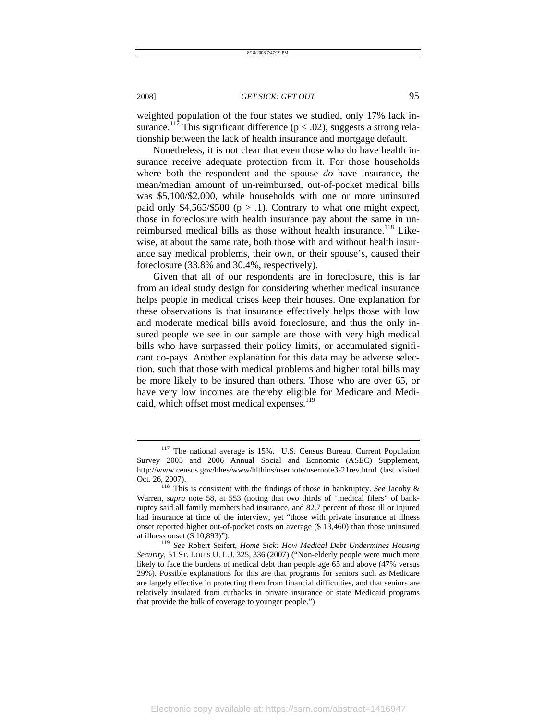weighted population of the four states we studied, only 17% lack insurance.<sup>117</sup> This significant difference ( $p < .02$ ), suggests a strong relationship between the lack of health insurance and mortgage default.

Nonetheless, it is not clear that even those who do have health insurance receive adequate protection from it. For those households where both the respondent and the spouse *do* have insurance, the mean/median amount of un-reimbursed, out-of-pocket medical bills was \$5,100/\$2,000, while households with one or more uninsured paid only  $$4,565/\$500$  (p > .1). Contrary to what one might expect, those in foreclosure with health insurance pay about the same in unreimbursed medical bills as those without health insurance.<sup>118</sup> Likewise, at about the same rate, both those with and without health insurance say medical problems, their own, or their spouse's, caused their foreclosure (33.8% and 30.4%, respectively).

Given that all of our respondents are in foreclosure, this is far from an ideal study design for considering whether medical insurance helps people in medical crises keep their houses. One explanation for these observations is that insurance effectively helps those with low and moderate medical bills avoid foreclosure, and thus the only insured people we see in our sample are those with very high medical bills who have surpassed their policy limits, or accumulated significant co-pays. Another explanation for this data may be adverse selection, such that those with medical problems and higher total bills may be more likely to be insured than others. Those who are over 65, or have very low incomes are thereby eligible for Medicare and Medicaid, which offset most medical expenses.<sup>119</sup>

<sup>117</sup> The national average is 15%. U.S. Census Bureau, Current Population Survey 2005 and 2006 Annual Social and Economic (ASEC) Supplement, http://www.census.gov/hhes/www/hlthins/usernote/usernote3-21rev.html (last visited

Oct. 26, 2007). 118 This is consistent with the findings of those in bankruptcy. *See* Jacoby & Warren, *supra* note 58, at 553 (noting that two thirds of "medical filers" of bankruptcy said all family members had insurance, and 82.7 percent of those ill or injured had insurance at time of the interview, yet "those with private insurance at illness onset reported higher out-of-pocket costs on average (\$ 13,460) than those uninsured at illness onset (\$ 10,893)"). 119 *See* Robert Seifert, *Home Sick: How Medical Debt Undermines Housing* 

*Security,* 51 ST. LOUIS U. L.J. 325, 336 (2007) ("Non-elderly people were much more likely to face the burdens of medical debt than people age 65 and above (47% versus 29%). Possible explanations for this are that programs for seniors such as Medicare are largely effective in protecting them from financial difficulties, and that seniors are relatively insulated from cutbacks in private insurance or state Medicaid programs that provide the bulk of coverage to younger people.")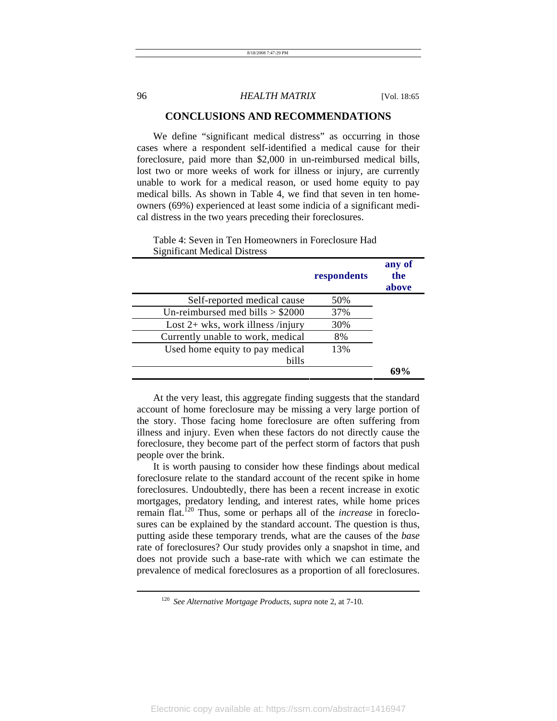### **CONCLUSIONS AND RECOMMENDATIONS**

We define "significant medical distress" as occurring in those cases where a respondent self-identified a medical cause for their foreclosure, paid more than \$2,000 in un-reimbursed medical bills, lost two or more weeks of work for illness or injury, are currently unable to work for a medical reason, or used home equity to pay medical bills. As shown in Table 4, we find that seven in ten homeowners (69%) experienced at least some indicia of a significant medical distress in the two years preceding their foreclosures.

|                                     | respondents | any of<br>the<br>above |
|-------------------------------------|-------------|------------------------|
| Self-reported medical cause         | 50%         |                        |
| Un-reimbursed med bills $> $2000$   | 37%         |                        |
| Lost $2+$ wks, work illness /injury | 30%         |                        |
| Currently unable to work, medical   | 8%          |                        |
| Used home equity to pay medical     | 13%         |                        |
| bills                               |             |                        |
|                                     |             |                        |

#### Table 4: Seven in Ten Homeowners in Foreclosure Had Significant Medical Distress

At the very least, this aggregate finding suggests that the standard account of home foreclosure may be missing a very large portion of the story. Those facing home foreclosure are often suffering from illness and injury. Even when these factors do not directly cause the foreclosure, they become part of the perfect storm of factors that push people over the brink.

It is worth pausing to consider how these findings about medical foreclosure relate to the standard account of the recent spike in home foreclosures. Undoubtedly, there has been a recent increase in exotic mortgages, predatory lending, and interest rates, while home prices remain flat.120 Thus, some or perhaps all of the *increase* in foreclosures can be explained by the standard account. The question is thus, putting aside these temporary trends, what are the causes of the *base* rate of foreclosures? Our study provides only a snapshot in time, and does not provide such a base-rate with which we can estimate the prevalence of medical foreclosures as a proportion of all foreclosures.

<sup>120</sup> *See Alternative Mortgage Products*, *supra* note 2, at 7-10.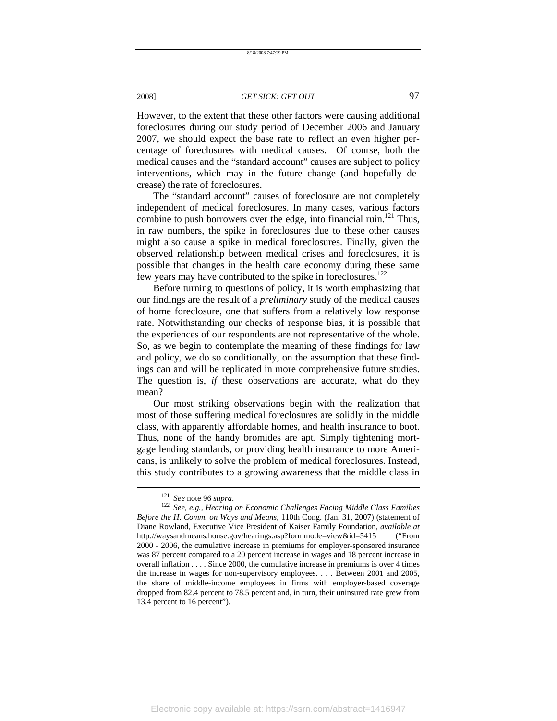However, to the extent that these other factors were causing additional foreclosures during our study period of December 2006 and January 2007, we should expect the base rate to reflect an even higher percentage of foreclosures with medical causes. Of course, both the medical causes and the "standard account" causes are subject to policy interventions, which may in the future change (and hopefully decrease) the rate of foreclosures.

The "standard account" causes of foreclosure are not completely independent of medical foreclosures. In many cases, various factors combine to push borrowers over the edge, into financial ruin.<sup>121</sup> Thus, in raw numbers, the spike in foreclosures due to these other causes might also cause a spike in medical foreclosures. Finally, given the observed relationship between medical crises and foreclosures, it is possible that changes in the health care economy during these same few years may have contributed to the spike in foreclosures. $122$ 

Before turning to questions of policy, it is worth emphasizing that our findings are the result of a *preliminary* study of the medical causes of home foreclosure, one that suffers from a relatively low response rate. Notwithstanding our checks of response bias, it is possible that the experiences of our respondents are not representative of the whole. So, as we begin to contemplate the meaning of these findings for law and policy, we do so conditionally, on the assumption that these findings can and will be replicated in more comprehensive future studies. The question is, *if* these observations are accurate, what do they mean?

Our most striking observations begin with the realization that most of those suffering medical foreclosures are solidly in the middle class, with apparently affordable homes, and health insurance to boot. Thus, none of the handy bromides are apt. Simply tightening mortgage lending standards, or providing health insurance to more Americans, is unlikely to solve the problem of medical foreclosures. Instead, this study contributes to a growing awareness that the middle class in l

<sup>121</sup> *See* note 96 *supra*. 122 *See, e.g., Hearing on Economic Challenges Facing Middle Class Families Before the H. Comm. on Ways and Means*, 110th Cong. (Jan. 31, 2007) (statement of Diane Rowland, Executive Vice President of Kaiser Family Foundation, *available at* http://waysandmeans.house.gov/hearings.asp?formmode=view&id=5415 ("From 2000 - 2006, the cumulative increase in premiums for employer-sponsored insurance was 87 percent compared to a 20 percent increase in wages and 18 percent increase in overall inflation . . . . Since 2000, the cumulative increase in premiums is over 4 times the increase in wages for non-supervisory employees. . . . Between 2001 and 2005, the share of middle-income employees in firms with employer-based coverage dropped from 82.4 percent to 78.5 percent and, in turn, their uninsured rate grew from 13.4 percent to 16 percent").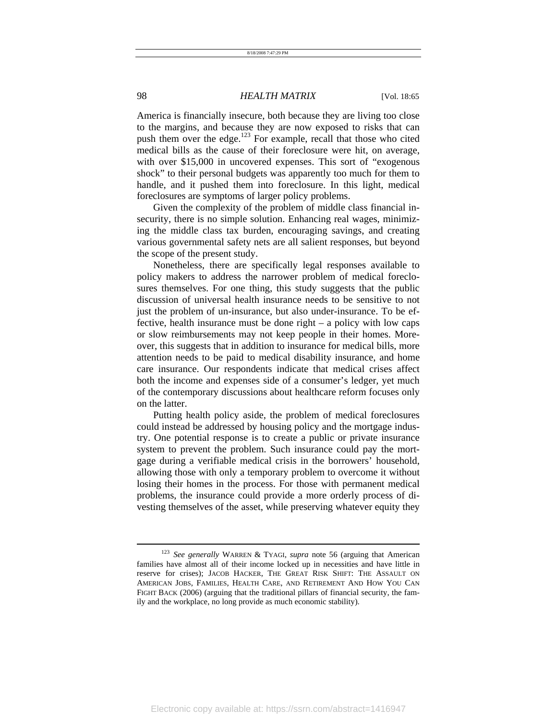America is financially insecure, both because they are living too close to the margins, and because they are now exposed to risks that can push them over the edge.<sup>123</sup> For example, recall that those who cited medical bills as the cause of their foreclosure were hit, on average, with over \$15,000 in uncovered expenses. This sort of "exogenous" shock" to their personal budgets was apparently too much for them to handle, and it pushed them into foreclosure. In this light, medical foreclosures are symptoms of larger policy problems.

Given the complexity of the problem of middle class financial insecurity, there is no simple solution. Enhancing real wages, minimizing the middle class tax burden, encouraging savings, and creating various governmental safety nets are all salient responses, but beyond the scope of the present study.

Nonetheless, there are specifically legal responses available to policy makers to address the narrower problem of medical foreclosures themselves. For one thing, this study suggests that the public discussion of universal health insurance needs to be sensitive to not just the problem of un-insurance, but also under-insurance. To be effective, health insurance must be done right – a policy with low caps or slow reimbursements may not keep people in their homes. Moreover, this suggests that in addition to insurance for medical bills, more attention needs to be paid to medical disability insurance, and home care insurance. Our respondents indicate that medical crises affect both the income and expenses side of a consumer's ledger, yet much of the contemporary discussions about healthcare reform focuses only on the latter.

Putting health policy aside, the problem of medical foreclosures could instead be addressed by housing policy and the mortgage industry. One potential response is to create a public or private insurance system to prevent the problem. Such insurance could pay the mortgage during a verifiable medical crisis in the borrowers' household, allowing those with only a temporary problem to overcome it without losing their homes in the process. For those with permanent medical problems, the insurance could provide a more orderly process of divesting themselves of the asset, while preserving whatever equity they

<sup>123</sup> *See generally* WARREN & TYAGI, *supra* note 56 (arguing that American families have almost all of their income locked up in necessities and have little in reserve for crises); JACOB HACKER, THE GREAT RISK SHIFT: THE ASSAULT ON AMERICAN JOBS, FAMILIES, HEALTH CARE, AND RETIREMENT AND HOW YOU CAN FIGHT BACK (2006) (arguing that the traditional pillars of financial security, the family and the workplace, no long provide as much economic stability).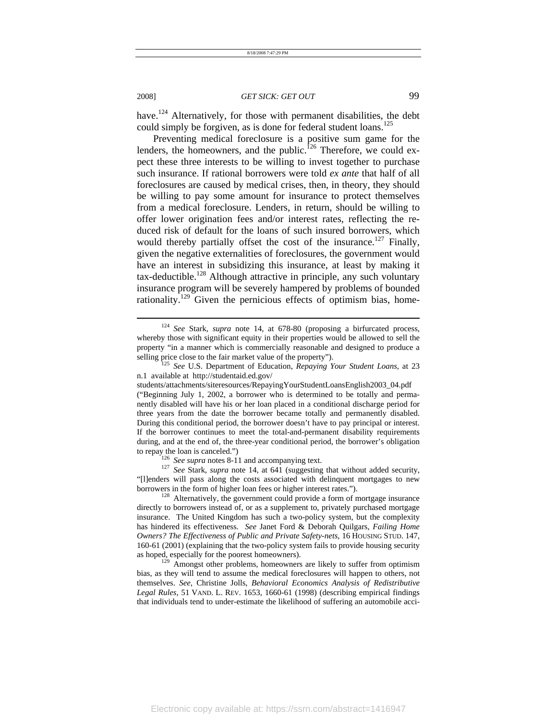have.<sup>124</sup> Alternatively, for those with permanent disabilities, the debt could simply be forgiven, as is done for federal student loans.<sup>125</sup>

Preventing medical foreclosure is a positive sum game for the lenders, the homeowners, and the public.<sup>126</sup> Therefore, we could expect these three interests to be willing to invest together to purchase such insurance. If rational borrowers were told *ex ante* that half of all foreclosures are caused by medical crises, then, in theory, they should be willing to pay some amount for insurance to protect themselves from a medical foreclosure. Lenders, in return, should be willing to offer lower origination fees and/or interest rates, reflecting the reduced risk of default for the loans of such insured borrowers, which would thereby partially offset the cost of the insurance.<sup>127</sup> Finally, given the negative externalities of foreclosures, the government would have an interest in subsidizing this insurance, at least by making it  $tax$ -deductible.<sup>128</sup> Although attractive in principle, any such voluntary insurance program will be severely hampered by problems of bounded rationality.<sup>129</sup> Given the pernicious effects of optimism bias, home-

l

to repay the loan is canceled.")<br><sup>126</sup> See supra notes 8-11 and accompanying text.<br><sup>127</sup> See Stark, *supra* note 14, at 641 (suggesting that without added security, "[l]enders will pass along the costs associated with delinquent mortgages to new borrowers in the form of higher loan fees or higher interest rates.").<br><sup>128</sup> Alternatively, the government could provide a form of mortgage insurance

directly to borrowers instead of, or as a supplement to, privately purchased mortgage insurance. The United Kingdom has such a two-policy system, but the complexity has hindered its effectiveness. *See* Janet Ford & Deborah Quilgars, *Failing Home Owners? The Effectiveness of Public and Private Safety-nets*, 16 HOUSING STUD. 147, 160-61 (2001) (explaining that the two-policy system fails to provide housing security as hoped, especially for the poorest homeowners). 129 Amongst other problems, homeowners are likely to suffer from optimism

bias, as they will tend to assume the medical foreclosures will happen to others, not themselves. *See*, Christine Jolls, *Behavioral Economics Analysis of Redistributive Legal Rules*, 51 VAND. L. REV. 1653, 1660-61 (1998) (describing empirical findings that individuals tend to under-estimate the likelihood of suffering an automobile acci-

<sup>124</sup> *See* Stark, *supra* note 14, at 678-80 (proposing a birfurcated process, whereby those with significant equity in their properties would be allowed to sell the property "in a manner which is commercially reasonable and designed to produce a selling price close to the fair market value of the property").<br><sup>125</sup> *See U.S. Department of Education, <i>Repaying Your Student Loans*, at 23

n.1 available at http://studentaid.ed.gov/

students/attachments/siteresources/RepayingYourStudentLoansEnglish2003\_04.pdf ("Beginning July 1, 2002, a borrower who is determined to be totally and permanently disabled will have his or her loan placed in a conditional discharge period for three years from the date the borrower became totally and permanently disabled. During this conditional period, the borrower doesn't have to pay principal or interest. If the borrower continues to meet the total-and-permanent disability requirements during, and at the end of, the three-year conditional period, the borrower's obligation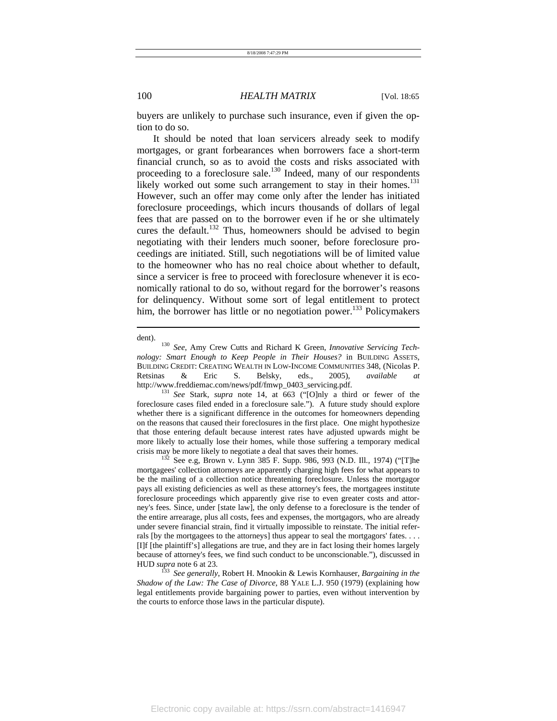buyers are unlikely to purchase such insurance, even if given the option to do so.

It should be noted that loan servicers already seek to modify mortgages, or grant forbearances when borrowers face a short-term financial crunch, so as to avoid the costs and risks associated with proceeding to a foreclosure sale.<sup>130</sup> Indeed, many of our respondents likely worked out some such arrangement to stay in their homes.<sup>131</sup> However, such an offer may come only after the lender has initiated foreclosure proceedings, which incurs thousands of dollars of legal fees that are passed on to the borrower even if he or she ultimately cures the default.<sup>132</sup> Thus, homeowners should be advised to begin negotiating with their lenders much sooner, before foreclosure proceedings are initiated. Still, such negotiations will be of limited value to the homeowner who has no real choice about whether to default, since a servicer is free to proceed with foreclosure whenever it is economically rational to do so, without regard for the borrower's reasons for delinquency. Without some sort of legal entitlement to protect him, the borrower has little or no negotiation power.<sup>133</sup> Policymakers

dent). 130 *See*, Amy Crew Cutts and Richard K Green, *Innovative Servicing Technology: Smart Enough to Keep People in Their Houses?* in BUILDING ASSETS, BUILDING CREDIT: CREATING WEALTH IN LOW-INCOME COMMUNITIES 348, (Nicolas P. Retsinas & Eric S. Belsky, eds., 2005), *available at*

http://www.freddiemac.com/news/pdf/fmwp\_0403\_servicing.pdf. 131 *See* Stark, *supra* note 14, at 663 ("[O]nly a third or fewer of the foreclosure cases filed ended in a foreclosure sale."). A future study should explore whether there is a significant difference in the outcomes for homeowners depending on the reasons that caused their foreclosures in the first place. One might hypothesize that those entering default because interest rates have adjusted upwards might be more likely to actually lose their homes, while those suffering a temporary medical crisis may be more likely to negotiate a deal that saves their homes.<br><sup>132</sup> See e.g, Brown v. Lynn 385 F. Supp. 986, 993 (N.D. Ill., 1974) ("[T]he

mortgagees' collection attorneys are apparently charging high fees for what appears to be the mailing of a collection notice threatening foreclosure. Unless the mortgagor pays all existing deficiencies as well as these attorney's fees, the mortgagees institute foreclosure proceedings which apparently give rise to even greater costs and attorney's fees. Since, under [state law], the only defense to a foreclosure is the tender of the entire arrearage, plus all costs, fees and expenses, the mortgagors, who are already under severe financial strain, find it virtually impossible to reinstate. The initial referrals [by the mortgagees to the attorneys] thus appear to seal the mortgagors' fates. . . . [I]f [the plaintiff's] allegations are true, and they are in fact losing their homes largely because of attorney's fees, we find such conduct to be unconscionable."), discussed in HUD *supra* note 6 at 23. 133 *See generally*, Robert H. Mnookin & Lewis Kornhauser, *Bargaining in the* 

*Shadow of the Law: The Case of Divorce*, 88 YALE L.J. 950 (1979) (explaining how legal entitlements provide bargaining power to parties, even without intervention by the courts to enforce those laws in the particular dispute).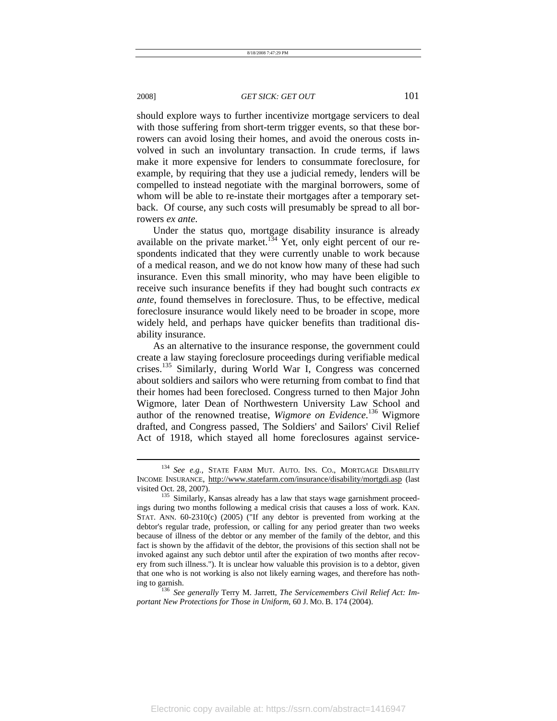l

#### 2008] *GET SICK: GET OUT* 101

should explore ways to further incentivize mortgage servicers to deal with those suffering from short-term trigger events, so that these borrowers can avoid losing their homes, and avoid the onerous costs involved in such an involuntary transaction. In crude terms, if laws make it more expensive for lenders to consummate foreclosure, for example, by requiring that they use a judicial remedy, lenders will be compelled to instead negotiate with the marginal borrowers, some of whom will be able to re-instate their mortgages after a temporary setback. Of course, any such costs will presumably be spread to all borrowers *ex ante*.

Under the status quo, mortgage disability insurance is already available on the private market.<sup>134</sup> Yet, only eight percent of our respondents indicated that they were currently unable to work because of a medical reason, and we do not know how many of these had such insurance. Even this small minority, who may have been eligible to receive such insurance benefits if they had bought such contracts *ex ante*, found themselves in foreclosure. Thus, to be effective, medical foreclosure insurance would likely need to be broader in scope, more widely held, and perhaps have quicker benefits than traditional disability insurance.

As an alternative to the insurance response, the government could create a law staying foreclosure proceedings during verifiable medical crises.135 Similarly, during World War I, Congress was concerned about soldiers and sailors who were returning from combat to find that their homes had been foreclosed. Congress turned to then Major John Wigmore, later Dean of Northwestern University Law School and author of the renowned treatise, *Wigmore on Evidence*. <sup>136</sup> Wigmore drafted, and Congress passed, The Soldiers' and Sailors' Civil Relief Act of 1918, which stayed all home foreclosures against service-

ing to garnish. 136 *See generally* Terry M. Jarrett, *The Servicemembers Civil Relief Act: Important New Protections for Those in Uniform*, 60 J. MO. B. 174 (2004).

<sup>134</sup> *See e.g.,* STATE FARM MUT. AUTO. INS. CO., MORTGAGE DISABILITY INCOME INSURANCE, http://www.statefarm.com/insurance/disability/mortgdi.asp (last

visited Oct. 28, 2007). 135 Similarly, Kansas already has a law that stays wage garnishment proceedings during two months following a medical crisis that causes a loss of work. KAN. STAT. ANN. 60-2310(c) (2005) ("If any debtor is prevented from working at the debtor's regular trade, profession, or calling for any period greater than two weeks because of illness of the debtor or any member of the family of the debtor, and this fact is shown by the affidavit of the debtor, the provisions of this section shall not be invoked against any such debtor until after the expiration of two months after recovery from such illness."). It is unclear how valuable this provision is to a debtor, given that one who is not working is also not likely earning wages, and therefore has noth-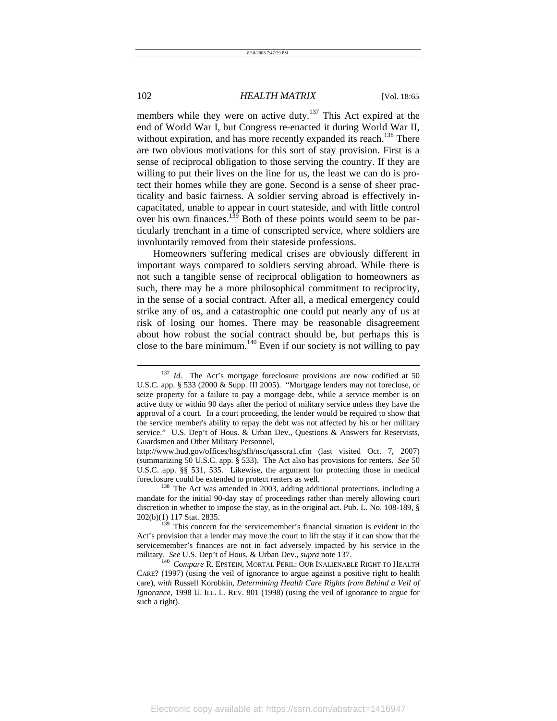members while they were on active duty.<sup>137</sup> This Act expired at the end of World War I, but Congress re-enacted it during World War II, without expiration, and has more recently expanded its reach.<sup>138</sup> There are two obvious motivations for this sort of stay provision. First is a sense of reciprocal obligation to those serving the country. If they are willing to put their lives on the line for us, the least we can do is protect their homes while they are gone. Second is a sense of sheer practicality and basic fairness. A soldier serving abroad is effectively incapacitated, unable to appear in court stateside, and with little control over his own finances.<sup>139</sup> Both of these points would seem to be particularly trenchant in a time of conscripted service, where soldiers are involuntarily removed from their stateside professions.

Homeowners suffering medical crises are obviously different in important ways compared to soldiers serving abroad. While there is not such a tangible sense of reciprocal obligation to homeowners as such, there may be a more philosophical commitment to reciprocity, in the sense of a social contract. After all, a medical emergency could strike any of us, and a catastrophic one could put nearly any of us at risk of losing our homes. There may be reasonable disagreement about how robust the social contract should be, but perhaps this is close to the bare minimum.<sup>140</sup> Even if our society is not willing to pay

<sup>&</sup>lt;sup>137</sup> *Id.* The Act's mortgage foreclosure provisions are now codified at 50 U.S.C. app. § 533 (2000 & Supp. III 2005). "Mortgage lenders may not foreclose, or seize property for a failure to pay a mortgage debt, while a service member is on active duty or within 90 days after the period of military service unless they have the approval of a court. In a court proceeding, the lender would be required to show that the service member's ability to repay the debt was not affected by his or her military service." U.S. Dep't of Hous. & Urban Dev., Questions & Answers for Reservists, Guardsmen and Other Military Personnel,

http://www.hud.gov/offices/hsg/sfh/nsc/qasscra1.cfm (last visited Oct. 7, 2007) (summarizing 50 U.S.C. app. § 533). The Act also has provisions for renters. *See* 50 U.S.C. app. §§ 531, 535. Likewise, the argument for protecting those in medical foreclosure could be extended to protect renters as well.<br><sup>138</sup> The Act was amended in 2003, adding additional protections, including a

mandate for the initial 90-day stay of proceedings rather than merely allowing court discretion in whether to impose the stay, as in the original act. Pub. L. No. 108-189, §  $202(b)(1)$  117 Stat. 2835.<br><sup>139</sup> This concern for the servicemember's financial situation is evident in the

Act's provision that a lender may move the court to lift the stay if it can show that the servicemember's finances are not in fact adversely impacted by his service in the military. *See* U.S. Dep't of Hous. & Urban Dev., *supra* note 137. 140 *Compare* R. EPSTEIN, MORTAL PERIL: OUR INALIENABLE RIGHT TO HEALTH

CARE? (1997) (using the veil of ignorance to argue against a positive right to health care), *with* Russell Korobkin, *Determining Health Care Rights from Behind a Veil of Ignorance,* 1998 U. ILL. L. REV. 801 (1998) (using the veil of ignorance to argue for such a right).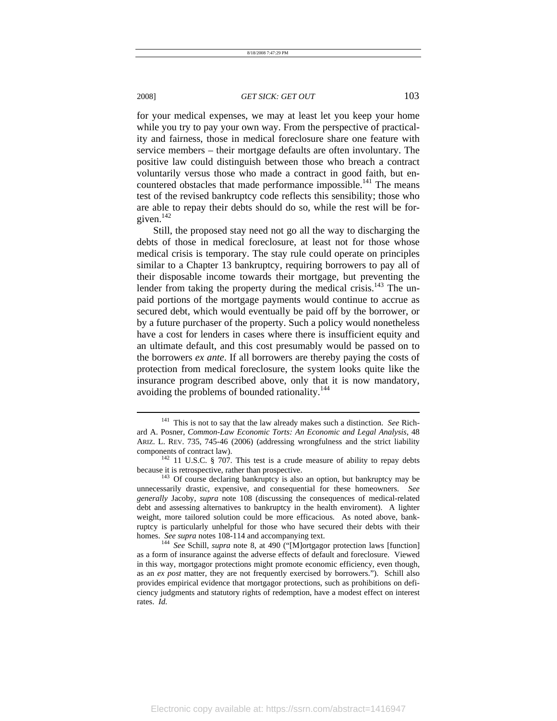l

### 2008] *GET SICK: GET OUT* 103

for your medical expenses, we may at least let you keep your home while you try to pay your own way. From the perspective of practicality and fairness, those in medical foreclosure share one feature with service members – their mortgage defaults are often involuntary. The positive law could distinguish between those who breach a contract voluntarily versus those who made a contract in good faith, but encountered obstacles that made performance impossible.<sup>141</sup> The means test of the revised bankruptcy code reflects this sensibility; those who are able to repay their debts should do so, while the rest will be forgiven.<sup>142</sup>

Still, the proposed stay need not go all the way to discharging the debts of those in medical foreclosure, at least not for those whose medical crisis is temporary. The stay rule could operate on principles similar to a Chapter 13 bankruptcy, requiring borrowers to pay all of their disposable income towards their mortgage, but preventing the lender from taking the property during the medical crisis.<sup>143</sup> The unpaid portions of the mortgage payments would continue to accrue as secured debt, which would eventually be paid off by the borrower, or by a future purchaser of the property. Such a policy would nonetheless have a cost for lenders in cases where there is insufficient equity and an ultimate default, and this cost presumably would be passed on to the borrowers *ex ante*. If all borrowers are thereby paying the costs of protection from medical foreclosure, the system looks quite like the insurance program described above, only that it is now mandatory, avoiding the problems of bounded rationality.<sup>144</sup>

<sup>141</sup> This is not to say that the law already makes such a distinction. *See* Richard A. Posner, *Common-Law Economic Torts: An Economic and Legal Analysis*, 48 ARIZ. L. REV. 735, 745-46 (2006) (addressing wrongfulness and the strict liability components of contract law).  $142$  11 U.S.C. § 707. This test is a crude measure of ability to repay debts

because it is retrospective, rather than prospective.<br><sup>143</sup> Of course declaring bankruptcy is also an option, but bankruptcy may be

unnecessarily drastic, expensive, and consequential for these homeowners. *See generally* Jacoby, *supra* note 108 (discussing the consequences of medical-related debt and assessing alternatives to bankruptcy in the health enviroment). A lighter weight, more tailored solution could be more efficacious. As noted above, bankruptcy is particularly unhelpful for those who have secured their debts with their homes. *See supra* notes 108-114 and accompanying text.<br><sup>144</sup> *See* Schill, *supra* note 8, at 490 ("[M]ortgagor protection laws [function]

as a form of insurance against the adverse effects of default and foreclosure. Viewed in this way, mortgagor protections might promote economic efficiency, even though, as an *ex post* matter, they are not frequently exercised by borrowers."). Schill also provides empirical evidence that mortgagor protections, such as prohibitions on deficiency judgments and statutory rights of redemption, have a modest effect on interest rates. *Id*.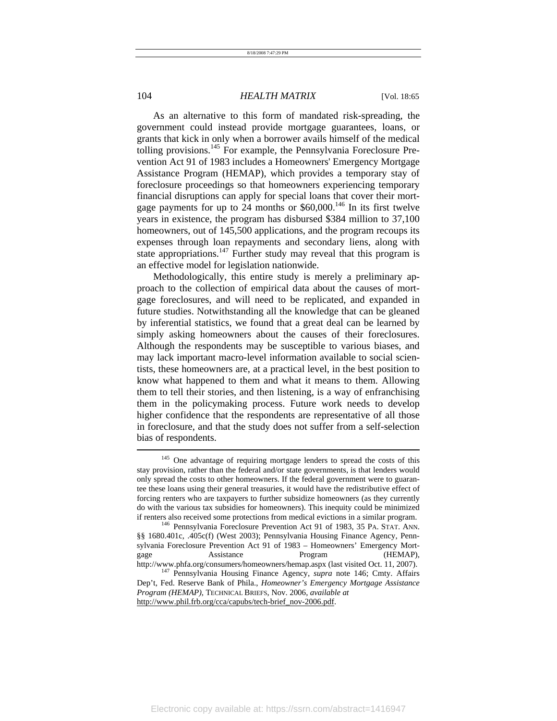As an alternative to this form of mandated risk-spreading, the government could instead provide mortgage guarantees, loans, or grants that kick in only when a borrower avails himself of the medical tolling provisions.<sup>145</sup> For example, the Pennsylvania Foreclosure Prevention Act 91 of 1983 includes a Homeowners' Emergency Mortgage Assistance Program (HEMAP), which provides a temporary stay of foreclosure proceedings so that homeowners experiencing temporary financial disruptions can apply for special loans that cover their mortgage payments for up to  $24$  months or \$60,000.<sup>146</sup> In its first twelve years in existence, the program has disbursed \$384 million to 37,100 homeowners, out of 145,500 applications, and the program recoups its expenses through loan repayments and secondary liens, along with state appropriations.<sup>147</sup> Further study may reveal that this program is an effective model for legislation nationwide.

Methodologically, this entire study is merely a preliminary approach to the collection of empirical data about the causes of mortgage foreclosures, and will need to be replicated, and expanded in future studies. Notwithstanding all the knowledge that can be gleaned by inferential statistics, we found that a great deal can be learned by simply asking homeowners about the causes of their foreclosures. Although the respondents may be susceptible to various biases, and may lack important macro-level information available to social scientists, these homeowners are, at a practical level, in the best position to know what happened to them and what it means to them. Allowing them to tell their stories, and then listening, is a way of enfranchising them in the policymaking process. Future work needs to develop higher confidence that the respondents are representative of all those in foreclosure, and that the study does not suffer from a self-selection bias of respondents.

<sup>&</sup>lt;sup>145</sup> One advantage of requiring mortgage lenders to spread the costs of this stay provision, rather than the federal and/or state governments, is that lenders would only spread the costs to other homeowners. If the federal government were to guarantee these loans using their general treasuries, it would have the redistributive effect of forcing renters who are taxpayers to further subsidize homeowners (as they currently do with the various tax subsidies for homeowners). This inequity could be minimized if renters also received some protections from medical evictions in a similar program. 146 Pennsylvania Foreclosure Prevention Act 91 of 1983, 35 PA. STAT. ANN.

<sup>§§ 1680.401</sup>c, .405c(f) (West 2003); Pennsylvania Housing Finance Agency, Pennsylvania Foreclosure Prevention Act 91 of 1983 – Homeowners' Emergency Mortgage Assistance Program (HEMAP),

http://www.phfa.org/consumers/homeowners/hemap.aspx (last visited Oct. 11, 2007). 147 Pennsylvania Housing Finance Agency, *supra* note 146; Cmty. Affairs Dep't, Fed. Reserve Bank of Phila., *Homeowner's Emergency Mortgage Assistance Program (HEMAP)*, TECHNICAL BRIEFS, Nov. 2006, *available at* http://www.phil.frb.org/cca/capubs/tech-brief\_nov-2006.pdf.